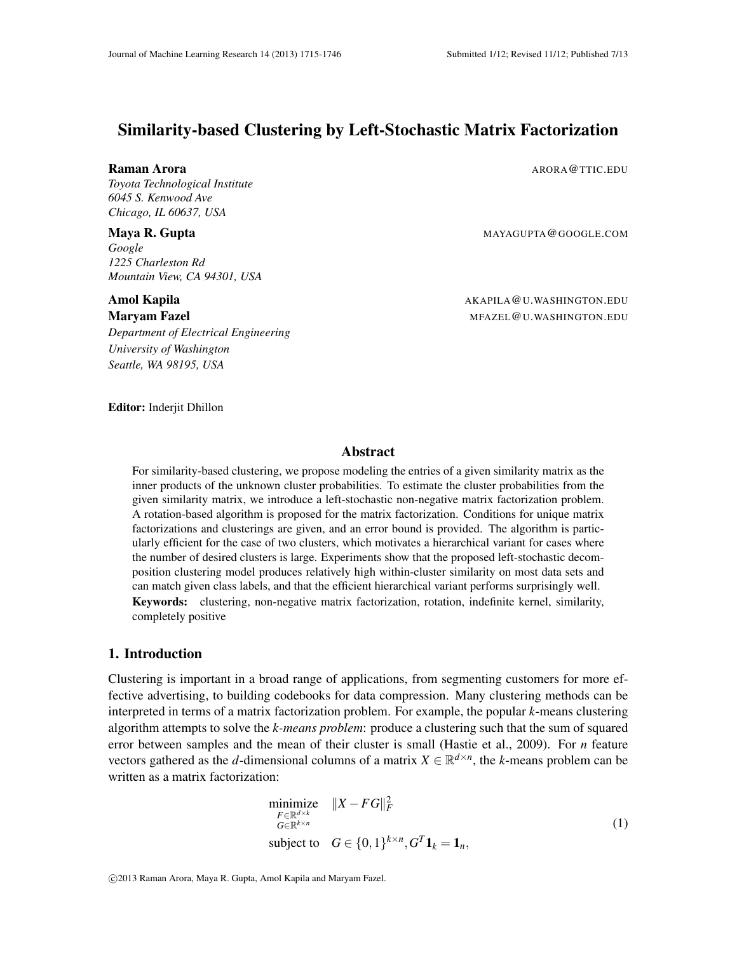# Similarity-based Clustering by Left-Stochastic Matrix Factorization

*Toyota Technological Institute 6045 S. Kenwood Ave Chicago, IL 60637, USA*

*Google 1225 Charleston Rd Mountain View, CA 94301, USA*

*Department of Electrical Engineering University of Washington Seattle, WA 98195, USA*

**Raman Arora** And **ARORA** ARORA ARORA **ARORA** ARORA ARORA ARORA ARORA ARORA ARORA ARORA ARORA ARORA ARORA ARORA ARORA ARORA ARORA ARORA ARORA ARORA ARORA ARORA ARORA ARORA ARORA ARORA ARORA ARORA ARORA ARORA ARORA ARORA AR

Maya R. Gupta Martin Communication and MAYAGUPTA @GOOGLE.COM

Amol Kapila And Kapila AKAPILA @U.WASHINGTON.EDU **Maryam Fazel MEASEL ARE ARE ARE A SERVIS TO A SERVIS A MEAZEL QU.WASHINGTON.EDU** 

Editor: Inderjit Dhillon

## Abstract

For similarity-based clustering, we propose modeling the entries of a given similarity matrix as the inner products of the unknown cluster probabilities. To estimate the cluster probabilities from the given similarity matrix, we introduce a left-stochastic non-negative matrix factorization problem. A rotation-based algorithm is proposed for the matrix factorization. Conditions for unique matrix factorizations and clusterings are given, and an error bound is provided. The algorithm is particularly efficient for the case of two clusters, which motivates a hierarchical variant for cases where the number of desired clusters is large. Experiments show that the proposed left-stochastic decomposition clustering model produces relatively high within-cluster similarity on most data sets and can match given class labels, and that the efficient hierarchical variant performs surprisingly well. Keywords: clustering, non-negative matrix factorization, rotation, indefinite kernel, similarity, completely positive

# 1. Introduction

Clustering is important in a broad range of applications, from segmenting customers for more effective advertising, to building codebooks for data compression. Many clustering methods can be interpreted in terms of a matrix factorization problem. For example, the popular *k*-means clustering algorithm attempts to solve the *k-means problem*: produce a clustering such that the sum of squared error between samples and the mean of their cluster is small (Hastie et al., 2009). For *n* feature vectors gathered as the *d*-dimensional columns of a matrix  $X \in \mathbb{R}^{d \times n}$ , the *k*-means problem can be written as a matrix factorization:

$$
\begin{array}{ll}\n\text{minimize} & \|X - FG\|_F^2 \\
\text{F} \in \mathbb{R}^{d \times k} \\
G \in \mathbb{R}^{k \times n} \\
\text{subject to} & G \in \{0, 1\}^{k \times n}, G^T \mathbf{1}_k = \mathbf{1}_n,\n\end{array} \tag{1}
$$

c 2013 Raman Arora, Maya R. Gupta, Amol Kapila and Maryam Fazel.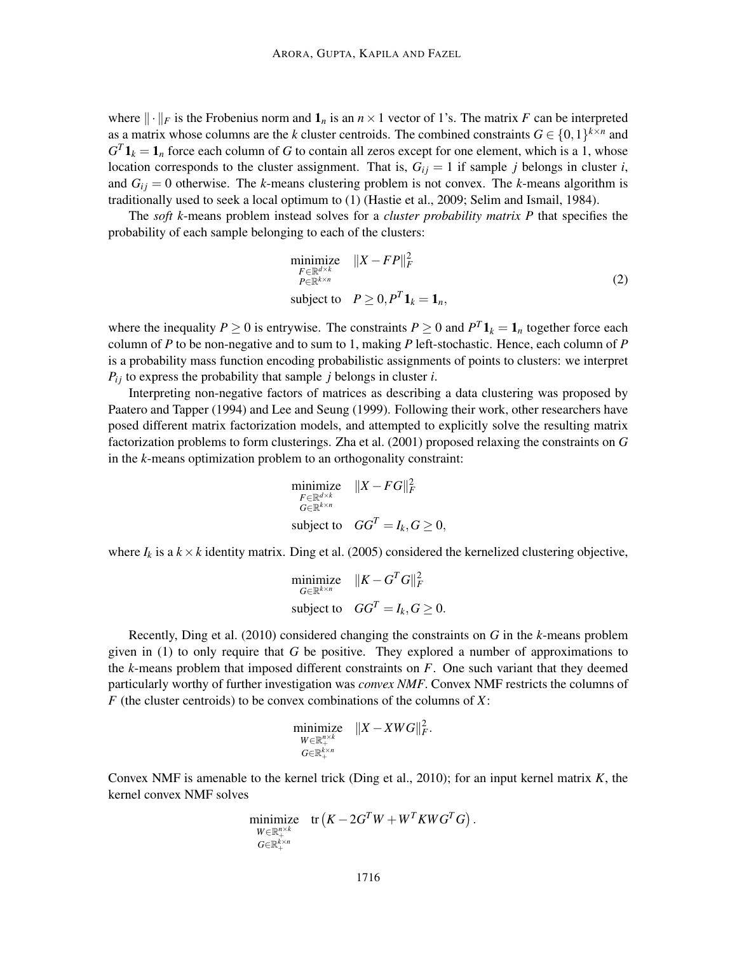where  $\|\cdot\|_F$  is the Frobenius norm and  $\mathbf{1}_n$  is an  $n \times 1$  vector of 1's. The matrix *F* can be interpreted as a matrix whose columns are the *k* cluster centroids. The combined constraints  $G \in \{0,1\}^{k \times n}$  and  $G<sup>T</sup> 1<sub>k</sub> = 1<sub>n</sub>$  force each column of *G* to contain all zeros except for one element, which is a 1, whose location corresponds to the cluster assignment. That is,  $G_{ij} = 1$  if sample *j* belongs in cluster *i*, and  $G_{ij} = 0$  otherwise. The *k*-means clustering problem is not convex. The *k*-means algorithm is traditionally used to seek a local optimum to (1) (Hastie et al., 2009; Selim and Ismail, 1984).

The *soft k*-means problem instead solves for a *cluster probability matrix P* that specifies the probability of each sample belonging to each of the clusters:

$$
\begin{array}{ll}\n\text{minimize} & \|X - FP\|_F^2 \\
\text{F} \in \mathbb{R}^{d \times k} \\
P \in \mathbb{R}^{k \times n} \\
\text{subject to} & P \ge 0, P^T \mathbf{1}_k = \mathbf{1}_n,\n\end{array} \tag{2}
$$

where the inequality  $P \ge 0$  is entrywise. The constraints  $P \ge 0$  and  $P^T \mathbf{1}_k = \mathbf{1}_n$  together force each column of *P* to be non-negative and to sum to 1, making *P* left-stochastic. Hence, each column of *P* is a probability mass function encoding probabilistic assignments of points to clusters: we interpret  $P_{ij}$  to express the probability that sample *j* belongs in cluster *i*.

Interpreting non-negative factors of matrices as describing a data clustering was proposed by Paatero and Tapper (1994) and Lee and Seung (1999). Following their work, other researchers have posed different matrix factorization models, and attempted to explicitly solve the resulting matrix factorization problems to form clusterings. Zha et al. (2001) proposed relaxing the constraints on *G* in the *k*-means optimization problem to an orthogonality constraint:

$$
\begin{array}{ll}\text{minimize} & \|X - FG\|_F^2\\ \text{ } & G \in \mathbb{R}^{d \times k} \\ \text{subject to} & GG^T = I_k, G \ge 0, \end{array}
$$

where  $I_k$  is a  $k \times k$  identity matrix. Ding et al. (2005) considered the kernelized clustering objective,

$$
\begin{aligned}\n\text{minimize} & \quad \|K - G^T G\|_F^2\\ \n\text{subject to} & \quad G G^T = I_k, G \ge 0.\n\end{aligned}
$$

Recently, Ding et al. (2010) considered changing the constraints on *G* in the *k*-means problem given in (1) to only require that *G* be positive. They explored a number of approximations to the *k*-means problem that imposed different constraints on *F*. One such variant that they deemed particularly worthy of further investigation was *convex NMF*. Convex NMF restricts the columns of *F* (the cluster centroids) to be convex combinations of the columns of *X*:

$$
\underset{G\in\mathbb{R}_{+}^{n\times k}}{\text{minimize}} \quad \|X-XWG\|_{F}^{2}.
$$

Convex NMF is amenable to the kernel trick (Ding et al., 2010); for an input kernel matrix *K*, the kernel convex NMF solves

$$
\begin{array}{ll}\text{minimize} & \text{tr}\left( K-2G^TW+W^TKWG^TG\right).\\ & & \text{ } \substack{W\in \mathbb{R}^{n\times k}_+\\ G\in \mathbb{R}^{k\times n}_+}\end{array}
$$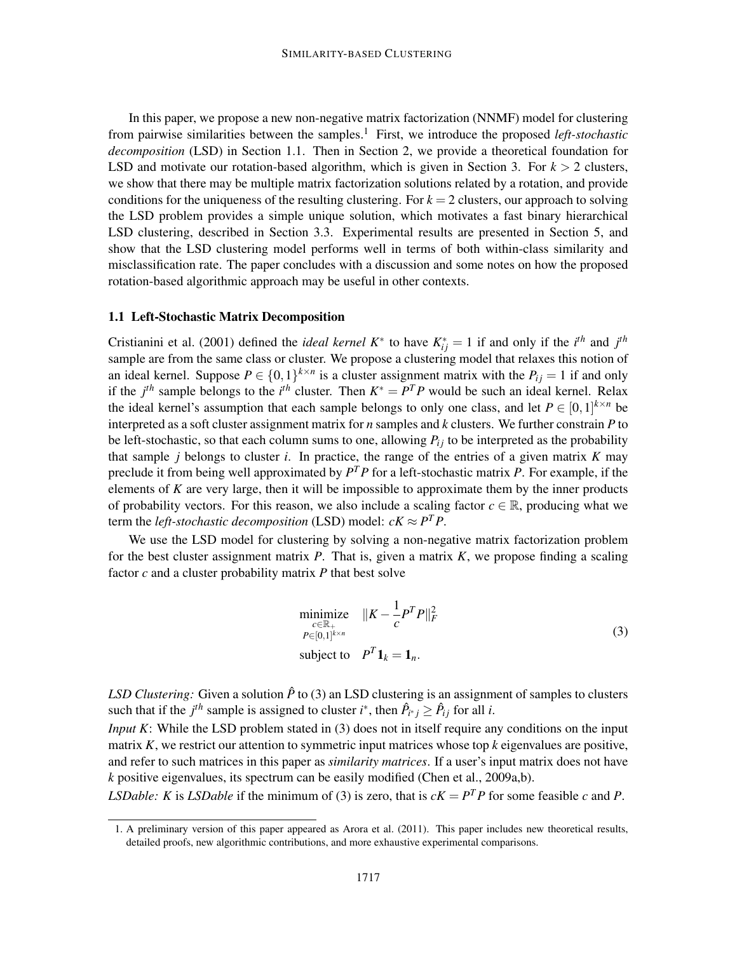In this paper, we propose a new non-negative matrix factorization (NNMF) model for clustering from pairwise similarities between the samples.<sup>1</sup> First, we introduce the proposed *left-stochastic decomposition* (LSD) in Section 1.1. Then in Section 2, we provide a theoretical foundation for LSD and motivate our rotation-based algorithm, which is given in Section 3. For  $k > 2$  clusters, we show that there may be multiple matrix factorization solutions related by a rotation, and provide conditions for the uniqueness of the resulting clustering. For  $k = 2$  clusters, our approach to solving the LSD problem provides a simple unique solution, which motivates a fast binary hierarchical LSD clustering, described in Section 3.3. Experimental results are presented in Section 5, and show that the LSD clustering model performs well in terms of both within-class similarity and misclassification rate. The paper concludes with a discussion and some notes on how the proposed rotation-based algorithmic approach may be useful in other contexts.

#### 1.1 Left-Stochastic Matrix Decomposition

Cristianini et al. (2001) defined the *ideal kernel*  $K^*$  to have  $K_{ij}^* = 1$  if and only if the *i*<sup>th</sup> and *j*<sup>th</sup> sample are from the same class or cluster. We propose a clustering model that relaxes this notion of an ideal kernel. Suppose  $P \in \{0,1\}^{k \times n}$  is a cluster assignment matrix with the  $P_{ij} = 1$  if and only if the  $j<sup>th</sup>$  sample belongs to the  $i<sup>th</sup>$  cluster. Then  $K^* = P^T P$  would be such an ideal kernel. Relax the ideal kernel's assumption that each sample belongs to only one class, and let  $P \in [0,1]^{k \times n}$  be interpreted as a soft cluster assignment matrix for *n* samples and *k* clusters. We further constrain *P* to be left-stochastic, so that each column sums to one, allowing  $P_{ij}$  to be interpreted as the probability that sample *j* belongs to cluster *i*. In practice, the range of the entries of a given matrix *K* may preclude it from being well approximated by *P <sup>T</sup>P* for a left-stochastic matrix *P*. For example, if the elements of *K* are very large, then it will be impossible to approximate them by the inner products of probability vectors. For this reason, we also include a scaling factor  $c \in \mathbb{R}$ , producing what we term the *left-stochastic decomposition* (LSD) model:  $cK \approx P^T P$ .

We use the LSD model for clustering by solving a non-negative matrix factorization problem for the best cluster assignment matrix *P*. That is, given a matrix *K*, we propose finding a scaling factor *c* and a cluster probability matrix *P* that best solve

$$
\begin{array}{ll}\n\text{minimize} & \|K - \frac{1}{c} P^T P\|_F^2 \\
\text{P} \in [0,1]^{k \times n} & \text{subject to} \quad P^T \mathbf{1}_k = \mathbf{1}_n.\n\end{array} \tag{3}
$$

*LSD Clustering:* Given a solution  $\hat{P}$  to (3) an LSD clustering is an assignment of samples to clusters such that if the *j*<sup>th</sup> sample is assigned to cluster *i*<sup>\*</sup>, then  $\hat{P}_{i^*j} \geq \hat{P}_{ij}$  for all *i*.

*Input K*: While the LSD problem stated in (3) does not in itself require any conditions on the input matrix *K*, we restrict our attention to symmetric input matrices whose top *k* eigenvalues are positive, and refer to such matrices in this paper as *similarity matrices*. If a user's input matrix does not have *k* positive eigenvalues, its spectrum can be easily modified (Chen et al., 2009a,b).

*LSDable: K* is *LSDable* if the minimum of (3) is zero, that is  $cK = P<sup>T</sup>P$  for some feasible *c* and *P*.

<sup>1.</sup> A preliminary version of this paper appeared as Arora et al. (2011). This paper includes new theoretical results, detailed proofs, new algorithmic contributions, and more exhaustive experimental comparisons.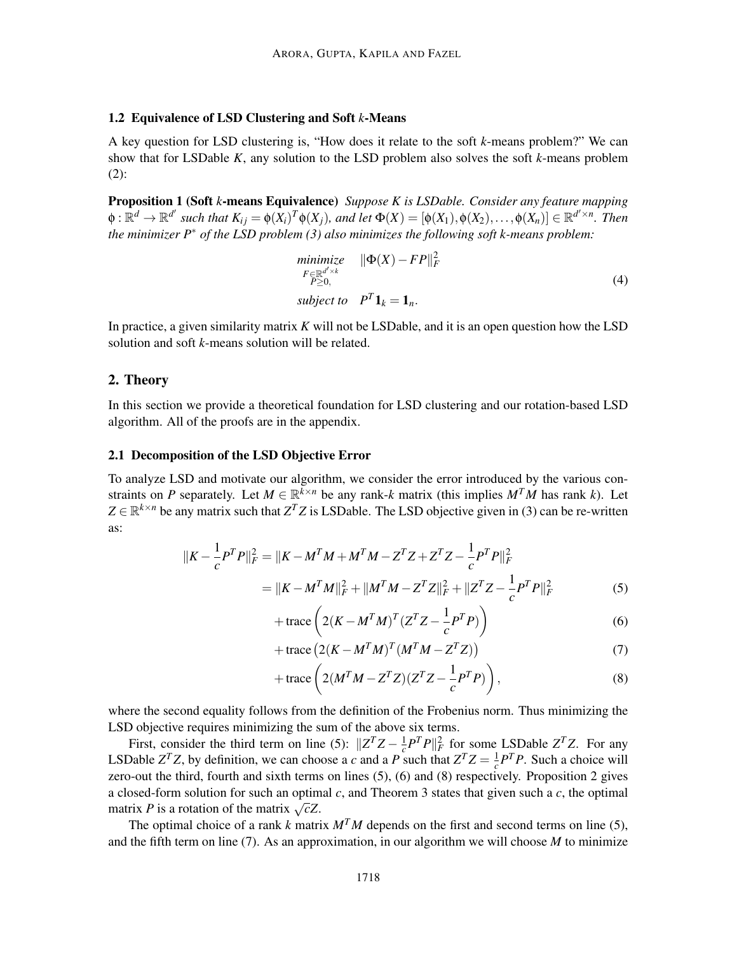#### 1.2 Equivalence of LSD Clustering and Soft *k*-Means

A key question for LSD clustering is, "How does it relate to the soft *k*-means problem?" We can show that for LSDable *K*, any solution to the LSD problem also solves the soft *k*-means problem (2):

Proposition 1 (Soft *k*-means Equivalence) *Suppose K is LSDable. Consider any feature mapping*  $\phi: \mathbb{R}^d \to \mathbb{R}^{d'}$  such that  $K_{ij} = \phi(X_i)^T \phi(X_j)$ , and let  $\Phi(X) = [\phi(X_1), \phi(X_2), \dots, \phi(X_n)] \in \mathbb{R}^{d' \times n}$ . Then *the minimizer P*∗ *of the LSD problem (3) also minimizes the following soft k-means problem:*

$$
\begin{array}{ll}\n\text{minimize} & \|\Phi(X) - FP\|_F^2 \\
\text{F} \in \mathbb{R}^{d' \times k} \\
\text{P \ge 0,} \\
\text{subject to} & P^T \mathbf{1}_k = \mathbf{1}_n.\n\end{array} \tag{4}
$$

In practice, a given similarity matrix *K* will not be LSDable, and it is an open question how the LSD solution and soft *k*-means solution will be related.

#### 2. Theory

In this section we provide a theoretical foundation for LSD clustering and our rotation-based LSD algorithm. All of the proofs are in the appendix.

#### 2.1 Decomposition of the LSD Objective Error

To analyze LSD and motivate our algorithm, we consider the error introduced by the various constraints on *P* separately. Let  $M \in \mathbb{R}^{k \times n}$  be any rank-*k* matrix (this implies  $M^T M$  has rank *k*). Let  $Z \in \mathbb{R}^{k \times n}$  be any matrix such that  $Z^T Z$  is LSDable. The LSD objective given in (3) can be re-written as:

$$
||K - \frac{1}{c}P^T P||_F^2 = ||K - M^T M + M^T M - Z^T Z + Z^T Z - \frac{1}{c} P^T P||_F^2
$$
  
= 
$$
||K - M^T M||_F^2 + ||M^T M - Z^T Z||_F^2 + ||Z^T Z - \frac{1}{c} P^T P||_F^2
$$
 (5)

$$
+\operatorname{trace}\left(2(K - M^T M)^T (Z^T Z - \frac{1}{c} P^T P)\right) \tag{6}
$$

$$
+\operatorname{trace}\left(2(K - M^T M)^T (M^T M - Z^T Z)\right) \tag{7}
$$

$$
+\operatorname{trace}\left(2(M^TM-Z^TZ)(Z^TZ-\frac{1}{c}P^TP)\right),\tag{8}
$$

where the second equality follows from the definition of the Frobenius norm. Thus minimizing the LSD objective requires minimizing the sum of the above six terms.

First, consider the third term on line (5):  $\|Z^T Z - \frac{1}{c}\|Z\|^2$  $\frac{1}{c}P^TP\|_F^2$  for some LSDable *Z*<sup>T</sup>*Z*. For any LSDable  $Z^T Z$ , by definition, we can choose a *c* and a P such that  $Z^T Z = \frac{1}{c}$  $\frac{1}{c}P^T P$ . Such a choice will zero-out the third, fourth and sixth terms on lines (5), (6) and (8) respectively. Proposition 2 gives a closed-form solution for such an optimal *c*, and Theorem 3 states that given such a *c*, the optimal matrix *P* is a rotation of the matrix  $\sqrt{c}Z$ .

The optimal choice of a rank k matrix  $M<sup>T</sup>M$  depends on the first and second terms on line (5), and the fifth term on line (7). As an approximation, in our algorithm we will choose *M* to minimize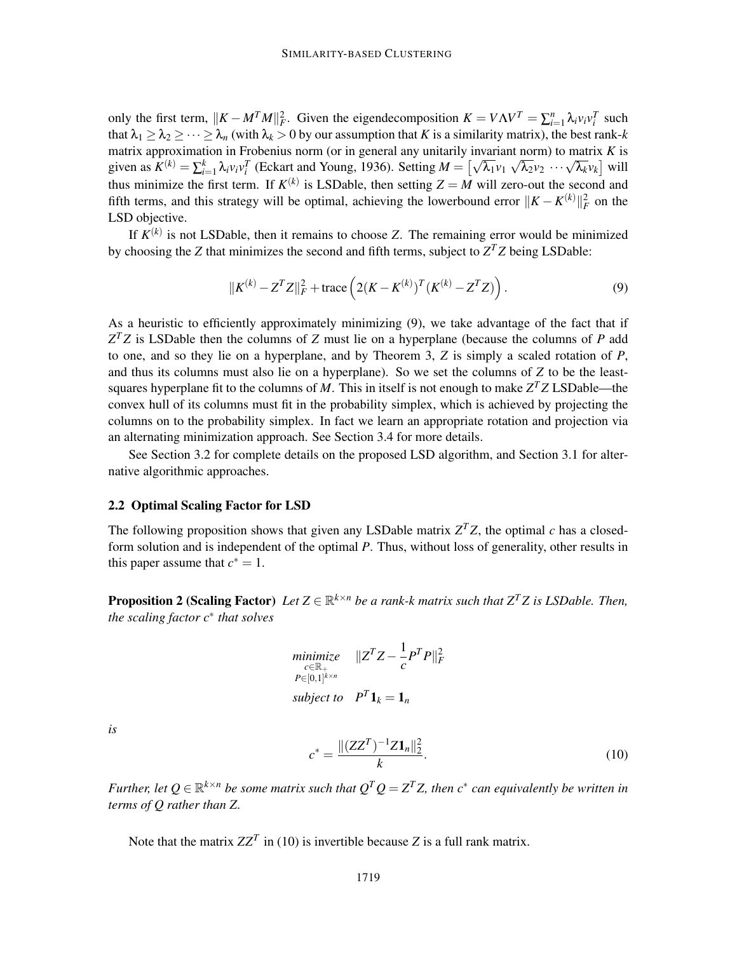only the first term,  $||K - M^T M||_F^2$ . Given the eigendecomposition  $K = V \Lambda V^T = \sum_{i=1}^n \lambda_i v_i v_i^T$  such that  $\lambda_1 \geq \lambda_2 \geq \cdots \geq \lambda_n$  (with  $\lambda_k > 0$  by our assumption that *K* is a similarity matrix), the best rank-*k* matrix approximation in Frobenius norm (or in general any unitarily invariant norm) to matrix *K* is given as  $K^{(k)} = \sum_{i=1}^{k} \lambda_i v_i v_i^T$  (Eckart and Young, 1936). Setting  $M = \left[\sqrt{\lambda_1} v_1 \sqrt{\lambda_2} v_2 \cdots \sqrt{\lambda_k} v_k\right]$  will thus minimize the first term. If  $K^{(k)}$  is LSDable, then setting  $Z = M$  will zero-out the second and fifth terms, and this strategy will be optimal, achieving the lowerbound error  $||K - K^{(k)}||_F^2$  on the LSD objective.

If *K* (*k*) is not LSDable, then it remains to choose *Z*. The remaining error would be minimized by choosing the *Z* that minimizes the second and fifth terms, subject to  $Z<sup>T</sup>Z$  being LSDable:

$$
||K^{(k)} - Z^{T}Z||_{F}^{2} + \text{trace}\left(2(K - K^{(k)})^{T}(K^{(k)} - Z^{T}Z)\right).
$$
\n(9)

As a heuristic to efficiently approximately minimizing (9), we take advantage of the fact that if *Z <sup>T</sup> Z* is LSDable then the columns of *Z* must lie on a hyperplane (because the columns of *P* add to one, and so they lie on a hyperplane, and by Theorem 3, *Z* is simply a scaled rotation of *P*, and thus its columns must also lie on a hyperplane). So we set the columns of *Z* to be the leastsquares hyperplane fit to the columns of *M*. This in itself is not enough to make  $Z<sup>T</sup>Z$  LSDable—the convex hull of its columns must fit in the probability simplex, which is achieved by projecting the columns on to the probability simplex. In fact we learn an appropriate rotation and projection via an alternating minimization approach. See Section 3.4 for more details.

See Section 3.2 for complete details on the proposed LSD algorithm, and Section 3.1 for alternative algorithmic approaches.

#### 2.2 Optimal Scaling Factor for LSD

The following proposition shows that given any LSDable matrix  $Z<sup>T</sup>Z$ , the optimal *c* has a closedform solution and is independent of the optimal *P*. Thus, without loss of generality, other results in this paper assume that  $c^* = 1$ .

**Proposition 2 (Scaling Factor)** Let  $Z \in \mathbb{R}^{k \times n}$  be a rank-k matrix such that  $Z^T Z$  is LSDable. Then, *the scaling factor c*∗ *that solves*

$$
\begin{array}{ll}\n\text{minimize} & \|Z^T Z - \frac{1}{c} P^T P\|_F^2 \\
\text{P} \in [0, 1]^{k \times n} & \text{subject to} & P^T \mathbf{1}_k = \mathbf{1}_n\n\end{array}
$$

*is*

$$
c^* = \frac{\|(ZZ^T)^{-1}Z\mathbf{1}_n\|_2^2}{k}.
$$
\n(10)

*Further, let*  $Q \in \mathbb{R}^{k \times n}$  *be some matrix such that*  $Q^TQ = Z^TZ$ *, then*  $c^*$  *can equivalently be written in terms of Q rather than Z.*

Note that the matrix  $ZZ^T$  in (10) is invertible because *Z* is a full rank matrix.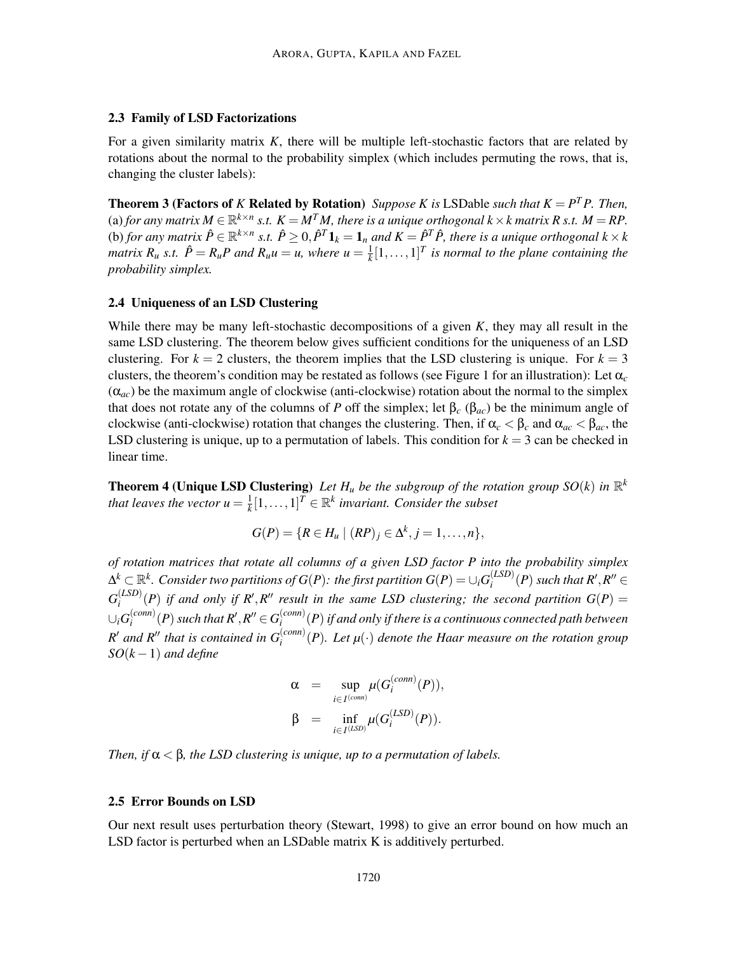#### 2.3 Family of LSD Factorizations

For a given similarity matrix *K*, there will be multiple left-stochastic factors that are related by rotations about the normal to the probability simplex (which includes permuting the rows, that is, changing the cluster labels):

**Theorem 3 (Factors of** *K* **Related by Rotation)** *Suppose K is* LSDable *such that*  $K = P^T P$ *. Then,* (a) for any matrix  $M \in \mathbb{R}^{k \times n}$  s.t.  $K = M^T M$ , there is a unique orthogonal  $k \times k$  matrix R s.t.  $M = RP$ . (b) for any matrix  $\hat{P} \in \mathbb{R}^{k \times n}$  s.t.  $\hat{P} \ge 0$ ,  $\hat{P}^T \mathbf{1}_k = \mathbf{1}_n$  and  $K = \hat{P}^T \hat{P}$ , there is a unique orthogonal  $k \times k$ *matrix*  $R_u$  *s.t.*  $\hat{P} = R_u P$  and  $R_u u = u$ , where  $u = \frac{1}{k}$  $\frac{1}{k}[1,\ldots,1]^T$  is normal to the plane containing the *probability simplex.*

#### 2.4 Uniqueness of an LSD Clustering

While there may be many left-stochastic decompositions of a given *K*, they may all result in the same LSD clustering. The theorem below gives sufficient conditions for the uniqueness of an LSD clustering. For  $k = 2$  clusters, the theorem implies that the LSD clustering is unique. For  $k = 3$ clusters, the theorem's condition may be restated as follows (see Figure 1 for an illustration): Let  $\alpha_c$  $(\alpha_{ac})$  be the maximum angle of clockwise (anti-clockwise) rotation about the normal to the simplex that does not rotate any of the columns of *P* off the simplex; let  $β<sub>c</sub> (β<sub>ac</sub>)$  be the minimum angle of clockwise (anti-clockwise) rotation that changes the clustering. Then, if  $\alpha_c < \beta_c$  and  $\alpha_{ac} < \beta_{ac}$ , the LSD clustering is unique, up to a permutation of labels. This condition for  $k = 3$  can be checked in linear time.

**Theorem 4 (Unique LSD Clustering)** Let  $H_u$  be the subgroup of the rotation group  $SO(k)$  in  $\mathbb{R}^k$ *that leaves the vector*  $u = \frac{1}{k}$  $\frac{1}{k}[1,\ldots,1]^T \in \mathbb{R}^k$  invariant. Consider the subset

$$
G(P) = \{R \in H_u \mid (RP)_j \in \Delta^k, j = 1, \ldots, n\},\
$$

*of rotation matrices that rotate all columns of a given LSD factor P into the probability simplex*  $\Delta^k \subset \mathbb{R}^k$ *. Consider two partitions of*  $G(P)$ *: the first partition*  $G(P) = \cup_i G_i^{(LSD)}$  $\int_i^{(LSD)}(P)$  such that  $R', R'' \in$  $G^{(LSD)}_i$  $\binom{LSD}{i}(P)$  *if and only if R'*, *R'' result in the same LSD clustering; the second partition G(P) =*  $\binom{LSD}{i}$ ∪*iG* (*conn*)  $\mathcal{E}_i^{(conn)}(P)$  such that  $R', R'' \in G_i^{(conn)}$ *i* (*P*)*if and only if there is a continuous connected path between*  $R'$  *and*  $R''$  *that is contained in*  $G_i^{(conn)}(P)$ *. Let*  $\mu(\cdot)$  *denote the Haar measure on the rotation group SO*(*k* −1) *and define*

$$
\alpha = \sup_{i \in I^{(conn)}} \mu(G_i^{(conn)}(P)),
$$
  

$$
\beta = \inf_{i \in I^{(LSD)}} \mu(G_i^{(LSD)}(P)).
$$

*Then, if*  $\alpha < \beta$ *, the LSD clustering is unique, up to a permutation of labels.* 

#### 2.5 Error Bounds on LSD

Our next result uses perturbation theory (Stewart, 1998) to give an error bound on how much an LSD factor is perturbed when an LSDable matrix K is additively perturbed.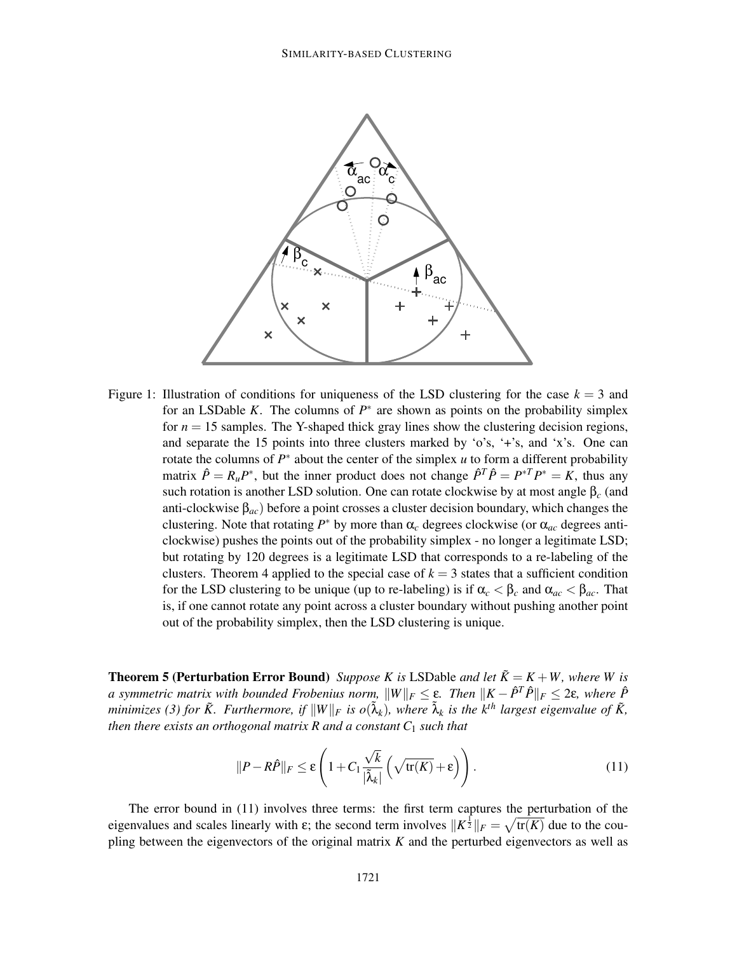

Figure 1: Illustration of conditions for uniqueness of the LSD clustering for the case  $k = 3$  and for an LSDable *K*. The columns of  $P^*$  are shown as points on the probability simplex for  $n = 15$  samples. The Y-shaped thick gray lines show the clustering decision regions, and separate the 15 points into three clusters marked by 'o's, '+'s, and 'x's. One can rotate the columns of *P*<sup>∗</sup> about the center of the simplex *u* to form a different probability matrix  $\hat{P} = R_u P^*$ , but the inner product does not change  $\hat{P}^T \hat{P} = P^{*T} P^* = K$ , thus any such rotation is another LSD solution. One can rotate clockwise by at most angle β*<sup>c</sup>* (and anti-clockwise  $\beta_{ac}$ ) before a point crosses a cluster decision boundary, which changes the clustering. Note that rotating  $P^*$  by more than  $\alpha_c$  degrees clockwise (or  $\alpha_{ac}$  degrees anticlockwise) pushes the points out of the probability simplex - no longer a legitimate LSD; but rotating by 120 degrees is a legitimate LSD that corresponds to a re-labeling of the clusters. Theorem 4 applied to the special case of  $k = 3$  states that a sufficient condition for the LSD clustering to be unique (up to re-labeling) is if  $\alpha_c < \beta_c$  and  $\alpha_{ac} < \beta_{ac}$ . That is, if one cannot rotate any point across a cluster boundary without pushing another point out of the probability simplex, then the LSD clustering is unique.

**Theorem 5 (Perturbation Error Bound)** *Suppose K is* LSDable *and let*  $\tilde{K} = K + W$ *, where W is a* symmetric matrix with bounded Frobenius norm,  $||W||_F \leq \varepsilon$ . Then  $||K - \hat{P}^T\hat{P}||_F \leq 2\varepsilon$ , where  $\hat{P}$ *minimizes (3) for*  $\tilde{K}$ *. Furthermore, if*  $||W||_F$  *is o*( $\tilde{\lambda}_k$ )*, where*  $\tilde{\lambda}_k$  *is the k*<sup>th</sup> largest eigenvalue of  $\tilde{K}$ *, then there exists an orthogonal matrix R and a constant*  $C_1$  *such that* 

$$
||P - R\hat{P}||_F \le \varepsilon \left(1 + C_1 \frac{\sqrt{k}}{|\tilde{\lambda}_k|} \left(\sqrt{\text{tr}(K)} + \varepsilon\right)\right). \tag{11}
$$

The error bound in (11) involves three terms: the first term captures the perturbation of the eigenvalues and scales linearly with  $\varepsilon$ ; the second term involves  $||K^{\frac{1}{2}}||_F = \sqrt{\text{tr}(K)}$  due to the coupling between the eigenvectors of the original matrix *K* and the perturbed eigenvectors as well as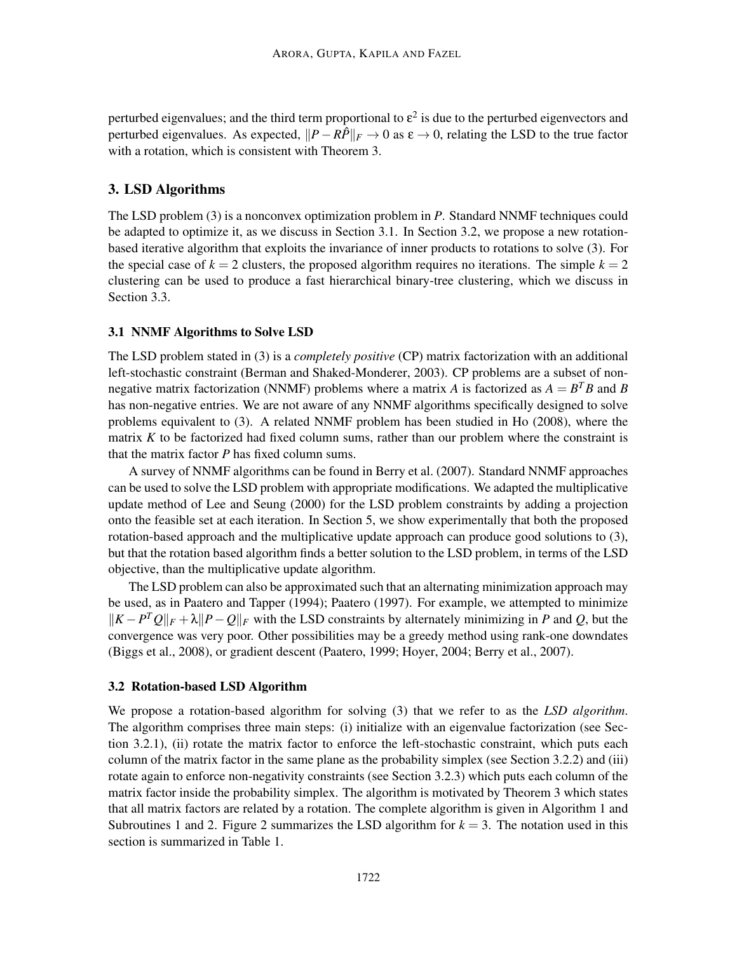perturbed eigenvalues; and the third term proportional to  $\varepsilon^2$  is due to the perturbed eigenvectors and perturbed eigenvalues. As expected,  $||P – R\hat{P}||_F \rightarrow 0$  as  $\varepsilon \rightarrow 0$ , relating the LSD to the true factor with a rotation, which is consistent with Theorem 3.

## 3. LSD Algorithms

The LSD problem (3) is a nonconvex optimization problem in *P*. Standard NNMF techniques could be adapted to optimize it, as we discuss in Section 3.1. In Section 3.2, we propose a new rotationbased iterative algorithm that exploits the invariance of inner products to rotations to solve (3). For the special case of  $k = 2$  clusters, the proposed algorithm requires no iterations. The simple  $k = 2$ clustering can be used to produce a fast hierarchical binary-tree clustering, which we discuss in Section 3.3.

#### 3.1 NNMF Algorithms to Solve LSD

The LSD problem stated in (3) is a *completely positive* (CP) matrix factorization with an additional left-stochastic constraint (Berman and Shaked-Monderer, 2003). CP problems are a subset of nonnegative matrix factorization (NNMF) problems where a matrix *A* is factorized as  $A = B^T B$  and *B* has non-negative entries. We are not aware of any NNMF algorithms specifically designed to solve problems equivalent to (3). A related NNMF problem has been studied in Ho (2008), where the matrix *K* to be factorized had fixed column sums, rather than our problem where the constraint is that the matrix factor *P* has fixed column sums.

A survey of NNMF algorithms can be found in Berry et al. (2007). Standard NNMF approaches can be used to solve the LSD problem with appropriate modifications. We adapted the multiplicative update method of Lee and Seung (2000) for the LSD problem constraints by adding a projection onto the feasible set at each iteration. In Section 5, we show experimentally that both the proposed rotation-based approach and the multiplicative update approach can produce good solutions to (3), but that the rotation based algorithm finds a better solution to the LSD problem, in terms of the LSD objective, than the multiplicative update algorithm.

The LSD problem can also be approximated such that an alternating minimization approach may be used, as in Paatero and Tapper (1994); Paatero (1997). For example, we attempted to minimize  $\|K - P^TQ\|_F + \lambda \|P - Q\|_F$  with the LSD constraints by alternately minimizing in *P* and *Q*, but the convergence was very poor. Other possibilities may be a greedy method using rank-one downdates (Biggs et al., 2008), or gradient descent (Paatero, 1999; Hoyer, 2004; Berry et al., 2007).

#### 3.2 Rotation-based LSD Algorithm

We propose a rotation-based algorithm for solving (3) that we refer to as the *LSD algorithm*. The algorithm comprises three main steps: (i) initialize with an eigenvalue factorization (see Section 3.2.1), (ii) rotate the matrix factor to enforce the left-stochastic constraint, which puts each column of the matrix factor in the same plane as the probability simplex (see Section 3.2.2) and (iii) rotate again to enforce non-negativity constraints (see Section 3.2.3) which puts each column of the matrix factor inside the probability simplex. The algorithm is motivated by Theorem 3 which states that all matrix factors are related by a rotation. The complete algorithm is given in Algorithm 1 and Subroutines 1 and 2. Figure 2 summarizes the LSD algorithm for  $k = 3$ . The notation used in this section is summarized in Table 1.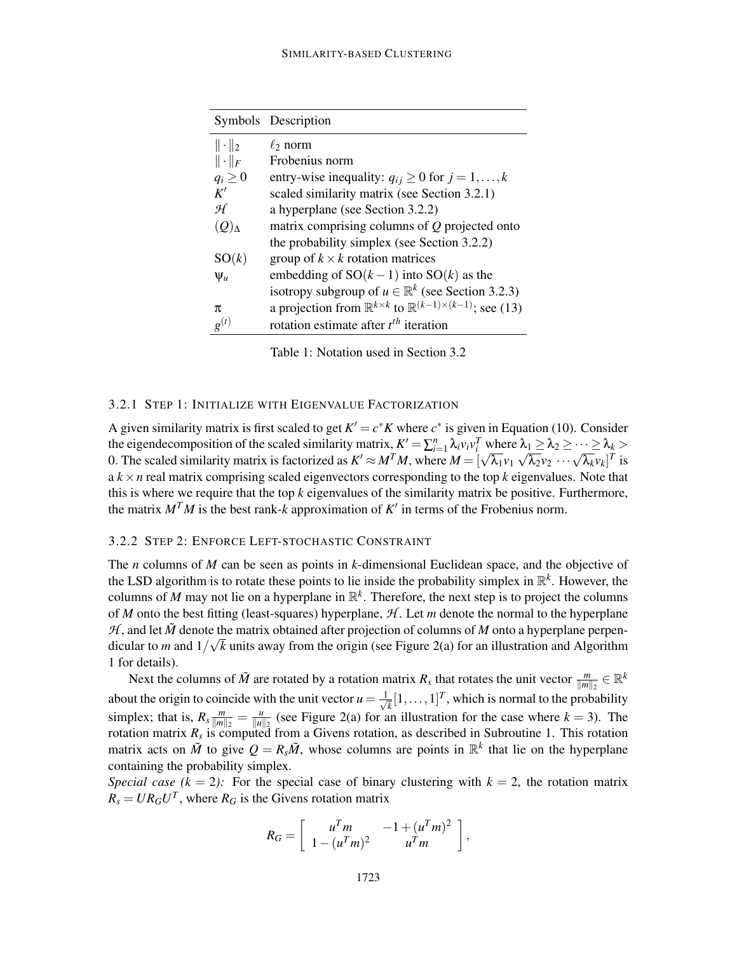#### SIMILARITY-BASED CLUSTERING

|                 | Symbols Description                                                                        |
|-----------------|--------------------------------------------------------------------------------------------|
| $\ \cdot\ _2$   | $\ell_2$ norm                                                                              |
| $\ \cdot\ _F$   | Frobenius norm                                                                             |
| $q_i \geq 0$    | entry-wise inequality: $q_{ij} \ge 0$ for $j = 1, , k$                                     |
| K'              | scaled similarity matrix (see Section 3.2.1)                                               |
| H               | a hyperplane (see Section 3.2.2)                                                           |
| $(Q)_{\Lambda}$ | matrix comprising columns of $Q$ projected onto                                            |
|                 | the probability simplex (see Section 3.2.2)                                                |
| SO(k)           | group of $k \times k$ rotation matrices                                                    |
| $\Psi_u$        | embedding of $SO(k-1)$ into $SO(k)$ as the                                                 |
|                 | isotropy subgroup of $u \in \mathbb{R}^k$ (see Section 3.2.3)                              |
| π               | a projection from $\mathbb{R}^{k \times k}$ to $\mathbb{R}^{(k-1)\times (k-1)}$ ; see (13) |
| $g^{(t)}$       | rotation estimate after $t^{th}$ iteration                                                 |

Table 1: Notation used in Section 3.2

## 3.2.1 STEP 1: INITIALIZE WITH EIGENVALUE FACTORIZATION

A given similarity matrix is first scaled to get  $K' = c^*K$  where  $c^*$  is given in Equation (10). Consider the eigendecomposition of the scaled similarity matrix,  $K' = \sum_{i=1}^{n} \lambda_i v_i v_i^T$  where  $\lambda_1 \geq \lambda_2 \geq \cdots \geq \lambda_k >$ 0. The scaled similarity matrix is factorized as  $K' \approx M^T M$ , where  $M = [\sqrt{\lambda_1}v_1 \sqrt{\lambda_2}v_2 \cdots \sqrt{\lambda_k}v_k]^T$  is  $a \, k \times n$  real matrix comprising scaled eigenvectors corresponding to the top  $k$  eigenvalues. Note that this is where we require that the top *k* eigenvalues of the similarity matrix be positive. Furthermore, the matrix  $M<sup>T</sup>M$  is the best rank-*k* approximation of  $K'$  in terms of the Frobenius norm.

#### 3.2.2 STEP 2: ENFORCE LEFT-STOCHASTIC CONSTRAINT

The *n* columns of *M* can be seen as points in *k*-dimensional Euclidean space, and the objective of the LSD algorithm is to rotate these points to lie inside the probability simplex in  $\mathbb{R}^k$ . However, the columns of M may not lie on a hyperplane in  $\mathbb{R}^k$ . Therefore, the next step is to project the columns of *M* onto the best fitting (least-squares) hyperplane, *H* . Let *m* denote the normal to the hyperplane  $H$ , and let  $\tilde{M}$  denote the matrix obtained after projection of columns of  $M$  onto a hyperplane perpendicular to *m* and  $1/\sqrt{k}$  units away from the origin (see Figure 2(a) for an illustration and Algorithm 1 for details).

Next the columns of  $\tilde{M}$  are rotated by a rotation matrix  $R_s$  that rotates the unit vector  $\frac{m}{\|m\|_2} \in \mathbb{R}^k$  $\|m\|_2$ about the origin to coincide with the unit vector  $u = \frac{1}{\sqrt{2}}$  $\overline{k}[1,\ldots,1]^T$ , which is normal to the probability simplex; that is,  $R_s \frac{m}{\|m\|}$  $\frac{m}{\|m\|_2} = \frac{u}{\|u\|_2}$  $\frac{u}{\|u\|_2}$  (see Figure 2(a) for an illustration for the case where  $k = 3$ ). The rotation matrix *R<sup>s</sup>* is computed from a Givens rotation, as described in Subroutine 1. This rotation matrix acts on  $\tilde{M}$  to give  $Q = R_s \tilde{M}$ , whose columns are points in  $\mathbb{R}^k$  that lie on the hyperplane containing the probability simplex.

*Special case (k = 2):* For the special case of binary clustering with  $k = 2$ , the rotation matrix  $R_s = U R_G U^T$ , where  $R_G$  is the Givens rotation matrix

$$
R_G = \left[ \begin{array}{cc} u^T m & -1 + (u^T m)^2 \\ 1 - (u^T m)^2 & u^T m \end{array} \right],
$$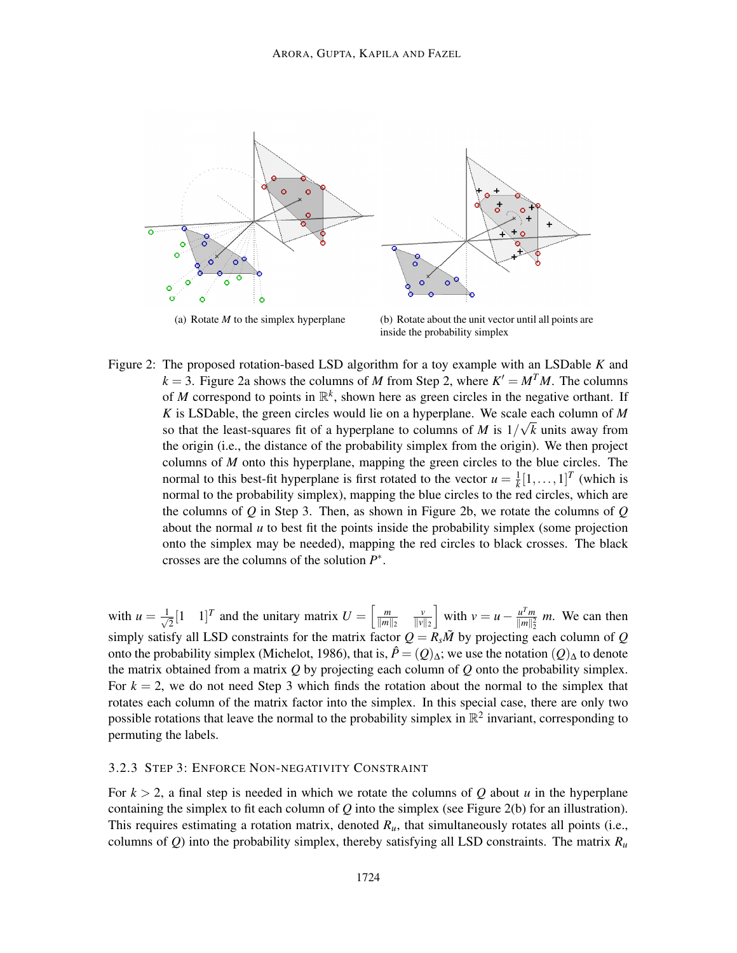

inside the probability simplex

Figure 2: The proposed rotation-based LSD algorithm for a toy example with an LSDable *K* and  $k = 3$ . Figure 2a shows the columns of *M* from Step 2, where  $K' = M<sup>T</sup>M$ . The columns of *M* correspond to points in  $\mathbb{R}^k$ , shown here as green circles in the negative orthant. If *K* is LSDable, the green circles would lie on a hyperplane. We scale each column of *M* so that the least-squares fit of a hyperplane to columns of *M* is  $1/\sqrt{k}$  units away from the origin (i.e., the distance of the probability simplex from the origin). We then project columns of *M* onto this hyperplane, mapping the green circles to the blue circles. The normal to this best-fit hyperplane is first rotated to the vector  $u = \frac{1}{k}$  $\frac{1}{k}[1,\ldots,1]^T$  (which is normal to the probability simplex), mapping the blue circles to the red circles, which are the columns of *Q* in Step 3. Then, as shown in Figure 2b, we rotate the columns of *Q* about the normal  $u$  to best fit the points inside the probability simplex (some projection onto the simplex may be needed), mapping the red circles to black crosses. The black crosses are the columns of the solution *P* ∗ .

with  $u = \frac{1}{\sqrt{2}}$  $\overline{Z}$ [1 1]<sup>*T*</sup> and the unitary matrix  $U = \begin{bmatrix} \frac{m}{||m||} \end{bmatrix}$  $\|m\|_2$ *v*  $\|v\|_2$ with  $v = u - \frac{u^T m}{\|m\|^2}$  $\frac{u^2 m}{\|m\|_2^2}$  *m*. We can then  $\sum_{n=1}^{\infty}$  simply satisfy all LSD constraints for the matrix factor  $Q = R_s \tilde{M}$  by projecting each column of *Q* onto the probability simplex (Michelot, 1986), that is,  $\hat{P} = (Q)_{\Delta}$ ; we use the notation  $(Q)_{\Delta}$  to denote the matrix obtained from a matrix *Q* by projecting each column of *Q* onto the probability simplex. For  $k = 2$ , we do not need Step 3 which finds the rotation about the normal to the simplex that rotates each column of the matrix factor into the simplex. In this special case, there are only two possible rotations that leave the normal to the probability simplex in  $\mathbb{R}^2$  invariant, corresponding to permuting the labels.

#### 3.2.3 STEP 3: ENFORCE NON-NEGATIVITY CONSTRAINT

For  $k > 2$ , a final step is needed in which we rotate the columns of Q about *u* in the hyperplane containing the simplex to fit each column of *Q* into the simplex (see Figure 2(b) for an illustration). This requires estimating a rotation matrix, denoted  $R<sub>u</sub>$ , that simultaneously rotates all points (i.e., columns of *Q*) into the probability simplex, thereby satisfying all LSD constraints. The matrix  $R_u$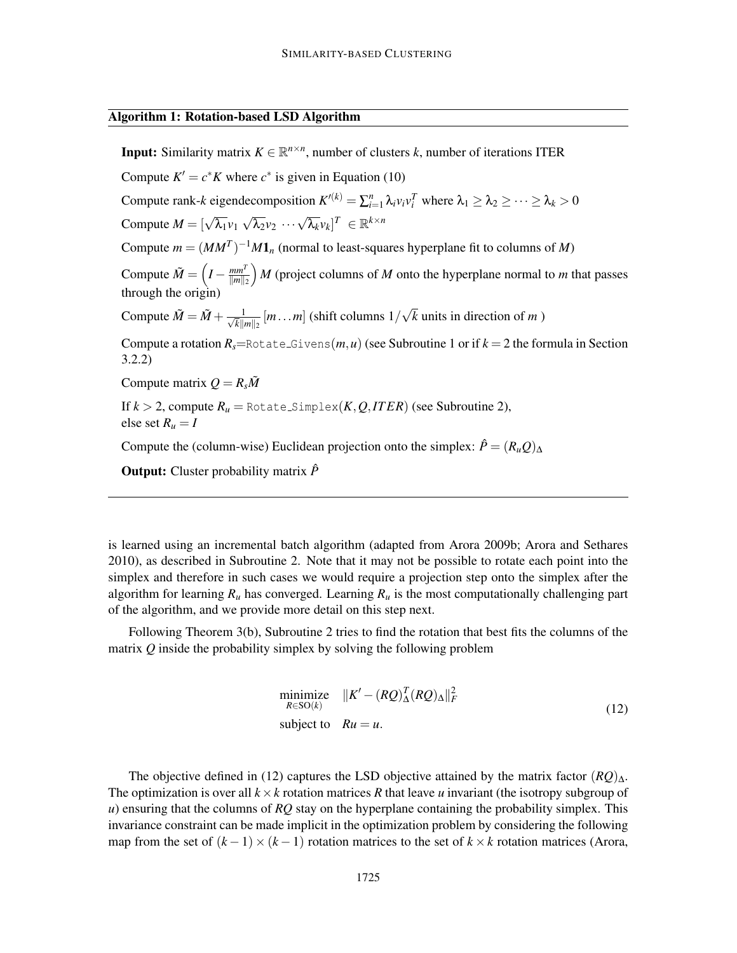#### Algorithm 1: Rotation-based LSD Algorithm

**Input:** Similarity matrix  $K \in \mathbb{R}^{n \times n}$ , number of clusters *k*, number of iterations ITER Compute  $K' = c^*K$  where  $c^*$  is given in Equation (10) Compute rank-*k* eigendecomposition  $K^{(k)} = \sum_{i=1}^{n} \lambda_i v_i v_i^T$  where  $\lambda_1 \ge \lambda_2 \ge \cdots \ge \lambda_k > 0$ Compute  $M = [\sqrt{\lambda_1}v_1 \sqrt{\lambda_2}v_2 \cdots \sqrt{\lambda_k}v_k]^T \in \mathbb{R}^{k \times n}$ Compute  $m = (MM^T)^{-1}M\mathbf{1}_n$  (normal to least-squares hyperplane fit to columns of *M*) Compute  $\tilde{M} = \left(I - \frac{mm^T}{\|m\|_2}\right)$  $\|m\|_2$  *M* (project columns of *M* onto the hyperplane normal to *m* that passes through the origin) Compute  $\tilde{M} = \tilde{M} + \frac{1}{\sqrt{h} \ln h}$  $\frac{1}{\bar{k}||m||_2}$   $[m...m]$  (shift columns  $1/\sqrt{k}$  units in direction of *m* ) Compute a rotation  $R_s$ =Rotate\_Givens $(m, u)$  (see Subroutine 1 or if  $k = 2$  the formula in Section 3.2.2) Compute matrix  $Q = R_s \tilde{M}$ If  $k > 2$ , compute  $R_u$  = Rotate\_Simplex( $K, Q, ITER$ ) (see Subroutine 2), else set  $R_u = I$ Compute the (column-wise) Euclidean projection onto the simplex:  $\hat{P} = (R_u Q)_{\Delta}$ Output: Cluster probability matrix *P*ˆ

is learned using an incremental batch algorithm (adapted from Arora 2009b; Arora and Sethares 2010), as described in Subroutine 2. Note that it may not be possible to rotate each point into the simplex and therefore in such cases we would require a projection step onto the simplex after the algorithm for learning  $R_u$  has converged. Learning  $R_u$  is the most computationally challenging part of the algorithm, and we provide more detail on this step next.

Following Theorem 3(b), Subroutine 2 tries to find the rotation that best fits the columns of the matrix *Q* inside the probability simplex by solving the following problem

$$
\begin{array}{ll}\n\text{minimize} & \|K' - (RQ)_{\Delta}^T (RQ)_{\Delta} \|^2_F \\
\text{subject to} & Ru = u.\n\end{array} \tag{12}
$$

The objective defined in (12) captures the LSD objective attained by the matrix factor (*RQ*)∆. The optimization is over all  $k \times k$  rotation matrices *R* that leave *u* invariant (the isotropy subgroup of *u*) ensuring that the columns of *RQ* stay on the hyperplane containing the probability simplex. This invariance constraint can be made implicit in the optimization problem by considering the following map from the set of  $(k-1) \times (k-1)$  rotation matrices to the set of  $k \times k$  rotation matrices (Arora,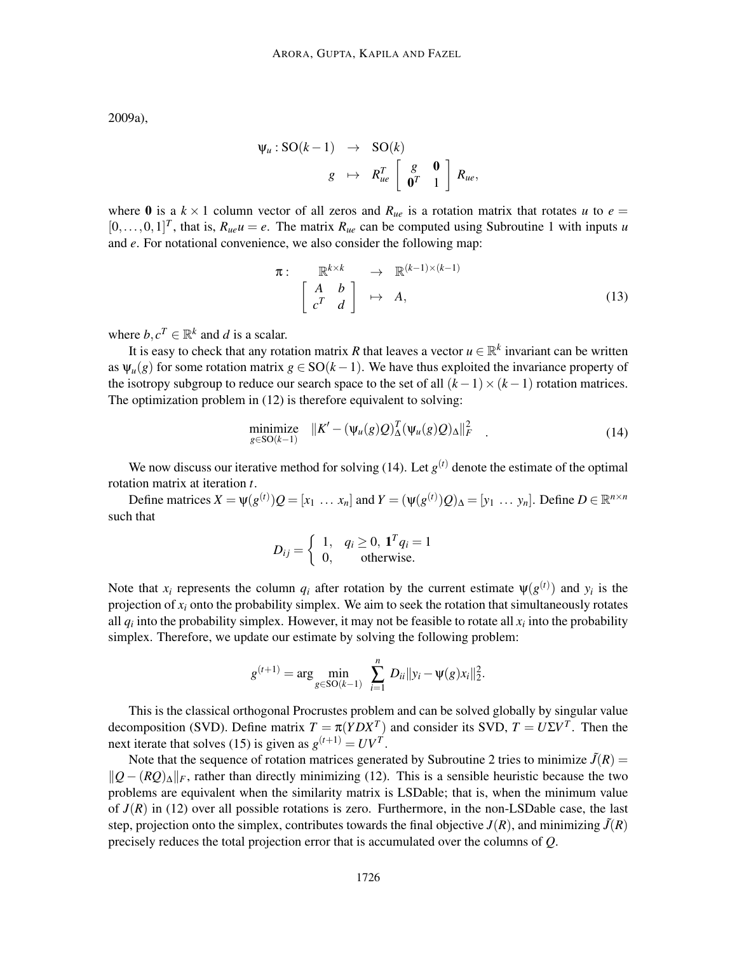2009a),

$$
\Psi_u : SO(k-1) \rightarrow SO(k)
$$
  

$$
g \mapsto R_{ue}^T \left[ \begin{array}{cc} g & \mathbf{0} \\ \mathbf{0}^T & 1 \end{array} \right] R_{ue},
$$

where 0 is a  $k \times 1$  column vector of all zeros and  $R_{ue}$  is a rotation matrix that rotates *u* to  $e =$  $[0,\ldots,0,1]^T$ , that is,  $R_{ue}u = e$ . The matrix  $R_{ue}$  can be computed using Subroutine 1 with inputs *u* and *e*. For notational convenience, we also consider the following map:

$$
\pi: \mathbb{R}^{k \times k} \to \mathbb{R}^{(k-1) \times (k-1)}
$$
\n
$$
\begin{bmatrix} A & b \\ c^T & d \end{bmatrix} \mapsto A,
$$
\n(13)

where  $b, c^T \in \mathbb{R}^k$  and *d* is a scalar.

It is easy to check that any rotation matrix *R* that leaves a vector  $u \in \mathbb{R}^k$  invariant can be written as  $\Psi_u(g)$  for some rotation matrix  $g \in SO(k-1)$ . We have thus exploited the invariance property of the isotropy subgroup to reduce our search space to the set of all  $(k-1) \times (k-1)$  rotation matrices. The optimization problem in (12) is therefore equivalent to solving:

$$
\underset{g \in SO(k-1)}{\text{minimize}} \quad \|K' - (\psi_u(g)Q)_{\Delta}^T(\psi_u(g)Q)_{\Delta}\|_F^2 \tag{14}
$$

We now discuss our iterative method for solving  $(14)$ . Let  $g<sup>(t)</sup>$  denote the estimate of the optimal rotation matrix at iteration *t*.

Define matrices  $X = \psi(g^{(t)})Q = [x_1 \dots x_n]$  and  $Y = (\psi(g^{(t)})Q)_{\Delta} = [y_1 \dots y_n]$ . Define  $D \in \mathbb{R}^{n \times n}$ such that

$$
D_{ij} = \begin{cases} 1, & q_i \ge 0, \mathbf{1}^T q_i = 1 \\ 0, & \text{otherwise.} \end{cases}
$$

Note that  $x_i$  represents the column  $q_i$  after rotation by the current estimate  $\psi(g^{(t)})$  and  $y_i$  is the projection of  $x_i$  onto the probability simplex. We aim to seek the rotation that simultaneously rotates all  $q_i$  into the probability simplex. However, it may not be feasible to rotate all  $x_i$  into the probability simplex. Therefore, we update our estimate by solving the following problem:

$$
g^{(t+1)} = \arg\min_{g \in SO(k-1)} \sum_{i=1}^{n} D_{ii} ||y_i - \psi(g)x_i||_2^2.
$$

This is the classical orthogonal Procrustes problem and can be solved globally by singular value decomposition (SVD). Define matrix  $T = \pi (YDX^T)$  and consider its SVD,  $T = U\Sigma V^T$ . Then the next iterate that solves (15) is given as  $g^{(t+1)} = UV^T$ .

Note that the sequence of rotation matrices generated by Subroutine 2 tries to minimize  $\tilde{J}(R)$  =  $||Q - (RQ)_{\Delta}||_F$ , rather than directly minimizing (12). This is a sensible heuristic because the two problems are equivalent when the similarity matrix is LSDable; that is, when the minimum value of  $J(R)$  in (12) over all possible rotations is zero. Furthermore, in the non-LSDable case, the last step, projection onto the simplex, contributes towards the final objective  $J(R)$ , and minimizing  $\tilde{J}(R)$ precisely reduces the total projection error that is accumulated over the columns of *Q*.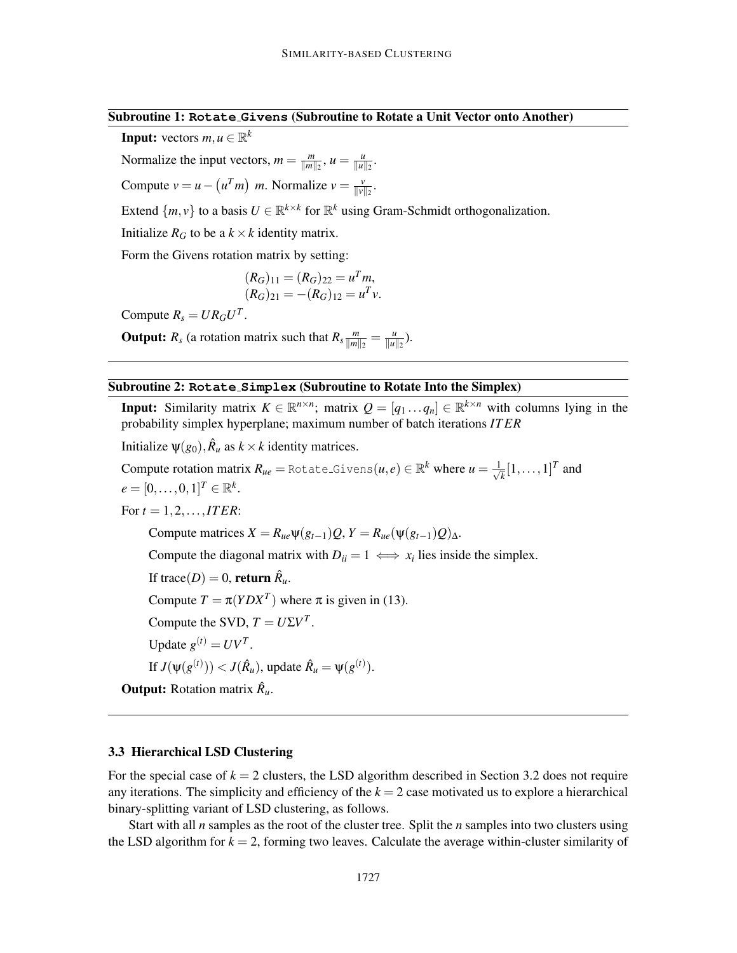.

**Input:** vectors  $m, u \in \mathbb{R}^k$ 

Normalize the input vectors,  $m = \frac{m}{\|m\|}$  $\frac{m}{\|m\|_2}$ ,  $u = \frac{u}{\|u\|_2}$  $\frac{u}{\|u\|_2}$ .

Compute 
$$
v = u - (u^T m)
$$
 m. Normalize  $v = \frac{v}{\|v\|_2}$ 

Extend  $\{m, v\}$  to a basis  $U \in \mathbb{R}^{k \times k}$  for  $\mathbb{R}^k$  using Gram-Schmidt orthogonalization.

Initialize  $R_G$  to be a  $k \times k$  identity matrix.

Form the Givens rotation matrix by setting:

$$
(R_G)_{11} = (R_G)_{22} = u^T m,
$$
  

$$
(R_G)_{21} = -(R_G)_{12} = u^T v.
$$

Compute  $R_s = U R_G U^T$ .

**Output:**  $R_s$  (a rotation matrix such that  $R_s \frac{m}{\|m\|}$  $\frac{m}{\|m\|_2} = \frac{u}{\|u\|_2}$  $\frac{u}{\|u\|_2}$ ).

#### Subroutine 2: **Rotate Simplex** (Subroutine to Rotate Into the Simplex)

**Input:** Similarity matrix  $K \in \mathbb{R}^{n \times n}$ ; matrix  $Q = [q_1 \dots q_n] \in \mathbb{R}^{k \times n}$  with columns lying in the probability simplex hyperplane; maximum number of batch iterations *IT ER*

Initialize  $\psi(g_0)$ ,  $\hat{R}_u$  as  $k \times k$  identity matrices.

 $\text{Compute rotation matrix } R_{ue} = \text{\texttt{Rotates}}\text{-}\text{Givens}(u, e) \in \mathbb{R}^k \text{ where } u = \frac{1}{\sqrt{2}}$  $\overline{k}$ <sup>[1</sup>,...,1]<sup>*T*</sup> and  $e = [0, ..., 0, 1]^{T} \in \mathbb{R}^{k}$ . For  $t = 1, 2, ..., ITER$ : Compute matrices  $X = R_{ue} \Psi(g_{t-1})Q$ ,  $Y = R_{ue}(\Psi(g_{t-1})Q)_{\Lambda}$ . Compute the diagonal matrix with  $D_{ii} = 1 \iff x_i$  lies inside the simplex. If trace( $D$ ) = 0, **return**  $\hat{R}_u$ .

Compute  $T = \pi (YDX^T)$  where  $\pi$  is given in (13).

Compute the SVD,  $T = U\Sigma V^T$ .

Update  $g^{(t)} = UV^T$ .

If  $J(\psi(g^{(t)})) < J(\hat{R}_u)$ , update  $\hat{R}_u = \psi(g^{(t)})$ .

**Output:** Rotation matrix  $\hat{R}_u$ .

#### 3.3 Hierarchical LSD Clustering

For the special case of  $k = 2$  clusters, the LSD algorithm described in Section 3.2 does not require any iterations. The simplicity and efficiency of the  $k = 2$  case motivated us to explore a hierarchical binary-splitting variant of LSD clustering, as follows.

Start with all *n* samples as the root of the cluster tree. Split the *n* samples into two clusters using the LSD algorithm for  $k = 2$ , forming two leaves. Calculate the average within-cluster similarity of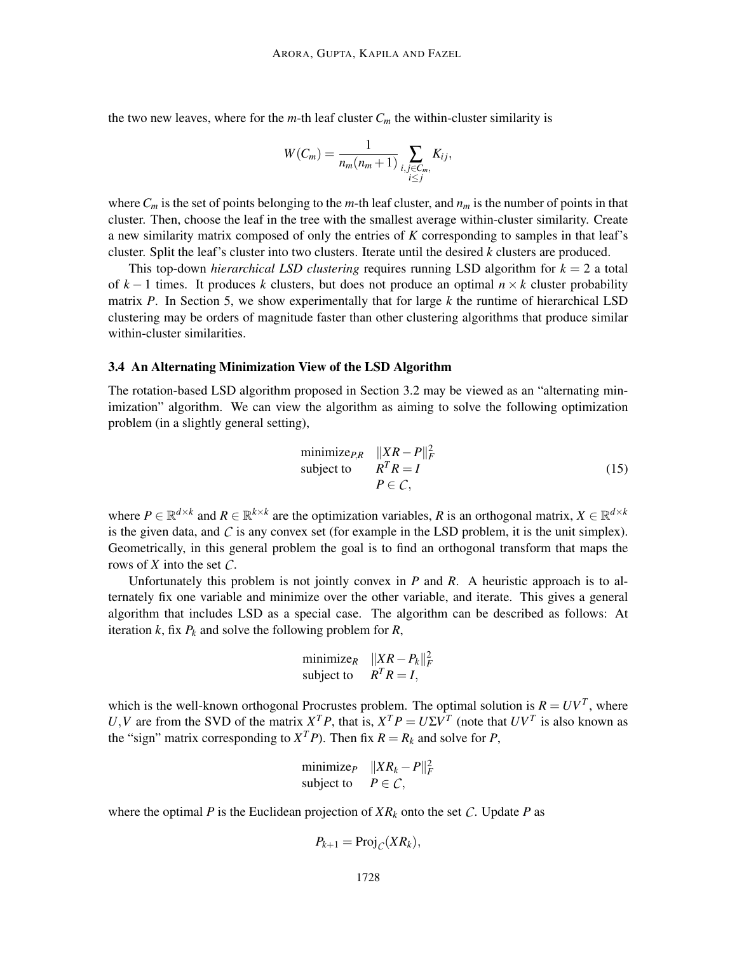the two new leaves, where for the  $m$ -th leaf cluster  $C_m$  the within-cluster similarity is

$$
W(C_m) = \frac{1}{n_m(n_m+1)} \sum_{\substack{i,j \in C_m, \\ i \le j}} K_{ij},
$$

where  $C_m$  is the set of points belonging to the *m*-th leaf cluster, and  $n_m$  is the number of points in that cluster. Then, choose the leaf in the tree with the smallest average within-cluster similarity. Create a new similarity matrix composed of only the entries of *K* corresponding to samples in that leaf's cluster. Split the leaf's cluster into two clusters. Iterate until the desired *k* clusters are produced.

This top-down *hierarchical LSD clustering* requires running LSD algorithm for *k* = 2 a total of  $k-1$  times. It produces k clusters, but does not produce an optimal  $n \times k$  cluster probability matrix *P*. In Section 5, we show experimentally that for large *k* the runtime of hierarchical LSD clustering may be orders of magnitude faster than other clustering algorithms that produce similar within-cluster similarities.

#### 3.4 An Alternating Minimization View of the LSD Algorithm

The rotation-based LSD algorithm proposed in Section 3.2 may be viewed as an "alternating minimization" algorithm. We can view the algorithm as aiming to solve the following optimization problem (in a slightly general setting),

$$
\begin{array}{ll}\n\text{minimize}_{P,R} & \|XR - P\|_F^2 \\
\text{subject to} & R^T R = I \\
& P \in \mathcal{C},\n\end{array} \tag{15}
$$

where  $P \in \mathbb{R}^{d \times k}$  and  $R \in \mathbb{R}^{k \times k}$  are the optimization variables, R is an orthogonal matrix,  $X \in \mathbb{R}^{d \times k}$ is the given data, and  $\mathcal C$  is any convex set (for example in the LSD problem, it is the unit simplex). Geometrically, in this general problem the goal is to find an orthogonal transform that maps the rows of *X* into the set *C*.

Unfortunately this problem is not jointly convex in *P* and *R*. A heuristic approach is to alternately fix one variable and minimize over the other variable, and iterate. This gives a general algorithm that includes LSD as a special case. The algorithm can be described as follows: At iteration  $k$ , fix  $P_k$  and solve the following problem for  $R$ ,

$$
\begin{array}{ll}\text{minimize}_{R} & \|XR - P_k\|_F^2\\ \text{subject to} & R^T R = I, \end{array}
$$

which is the well-known orthogonal Procrustes problem. The optimal solution is  $R = UV<sup>T</sup>$ , where *U*, *V* are from the SVD of the matrix  $X^T P$ , that is,  $X^T P = U \Sigma V^T$  (note that  $UV^T$  is also known as the "sign" matrix corresponding to  $X^T P$ ). Then fix  $R = R_k$  and solve for *P*,

$$
\begin{array}{ll}\text{minimize}_{P} & \|XR_k - P\|_F^2\\ \text{subject to} & P \in \mathcal{C}, \end{array}
$$

where the optimal *P* is the Euclidean projection of  $XR_k$  onto the set *C*. Update *P* as

$$
P_{k+1} = \text{Proj}_{\mathcal{C}}(XR_k),
$$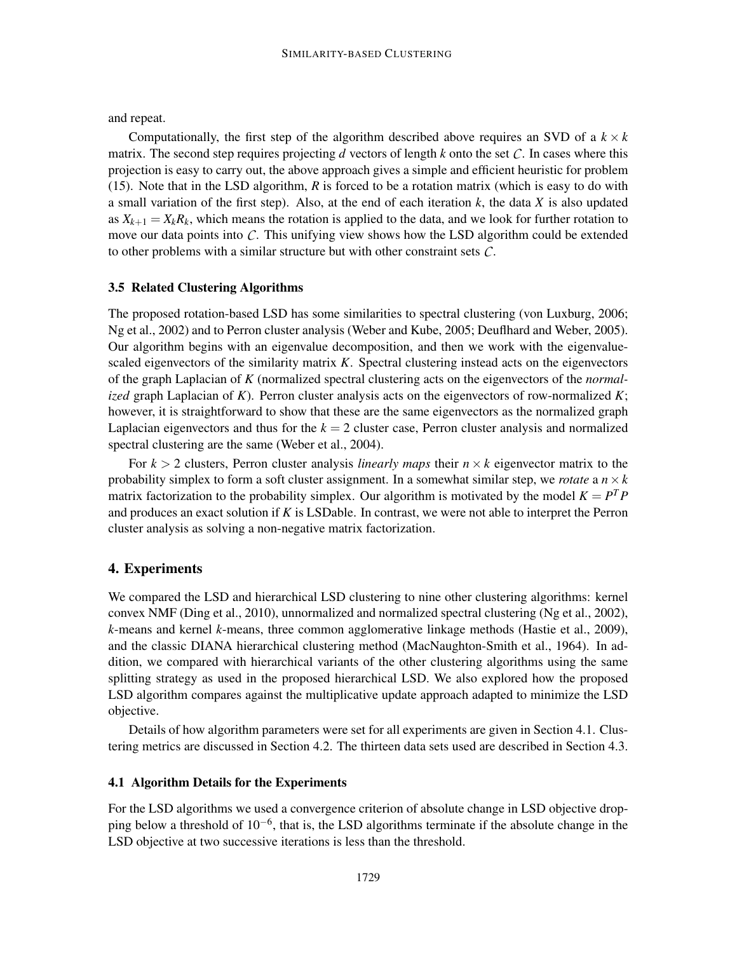and repeat.

Computationally, the first step of the algorithm described above requires an SVD of a  $k \times k$ matrix. The second step requires projecting *d* vectors of length *k* onto the set *C*. In cases where this projection is easy to carry out, the above approach gives a simple and efficient heuristic for problem (15). Note that in the LSD algorithm, *R* is forced to be a rotation matrix (which is easy to do with a small variation of the first step). Also, at the end of each iteration *k*, the data *X* is also updated as  $X_{k+1} = X_k R_k$ , which means the rotation is applied to the data, and we look for further rotation to move our data points into *C*. This unifying view shows how the LSD algorithm could be extended to other problems with a similar structure but with other constraint sets *C*.

## 3.5 Related Clustering Algorithms

The proposed rotation-based LSD has some similarities to spectral clustering (von Luxburg, 2006; Ng et al., 2002) and to Perron cluster analysis (Weber and Kube, 2005; Deuflhard and Weber, 2005). Our algorithm begins with an eigenvalue decomposition, and then we work with the eigenvaluescaled eigenvectors of the similarity matrix *K*. Spectral clustering instead acts on the eigenvectors of the graph Laplacian of *K* (normalized spectral clustering acts on the eigenvectors of the *normalized* graph Laplacian of *K*). Perron cluster analysis acts on the eigenvectors of row-normalized *K*; however, it is straightforward to show that these are the same eigenvectors as the normalized graph Laplacian eigenvectors and thus for the  $k = 2$  cluster case, Perron cluster analysis and normalized spectral clustering are the same (Weber et al., 2004).

For  $k > 2$  clusters, Perron cluster analysis *linearly maps* their  $n \times k$  eigenvector matrix to the probability simplex to form a soft cluster assignment. In a somewhat similar step, we *rotate* a  $n \times k$ matrix factorization to the probability simplex. Our algorithm is motivated by the model  $K = P<sup>T</sup>P$ and produces an exact solution if *K* is LSDable. In contrast, we were not able to interpret the Perron cluster analysis as solving a non-negative matrix factorization.

# 4. Experiments

We compared the LSD and hierarchical LSD clustering to nine other clustering algorithms: kernel convex NMF (Ding et al., 2010), unnormalized and normalized spectral clustering (Ng et al., 2002), *k*-means and kernel *k*-means, three common agglomerative linkage methods (Hastie et al., 2009), and the classic DIANA hierarchical clustering method (MacNaughton-Smith et al., 1964). In addition, we compared with hierarchical variants of the other clustering algorithms using the same splitting strategy as used in the proposed hierarchical LSD. We also explored how the proposed LSD algorithm compares against the multiplicative update approach adapted to minimize the LSD objective.

Details of how algorithm parameters were set for all experiments are given in Section 4.1. Clustering metrics are discussed in Section 4.2. The thirteen data sets used are described in Section 4.3.

## 4.1 Algorithm Details for the Experiments

For the LSD algorithms we used a convergence criterion of absolute change in LSD objective dropping below a threshold of 10<sup>-6</sup>, that is, the LSD algorithms terminate if the absolute change in the LSD objective at two successive iterations is less than the threshold.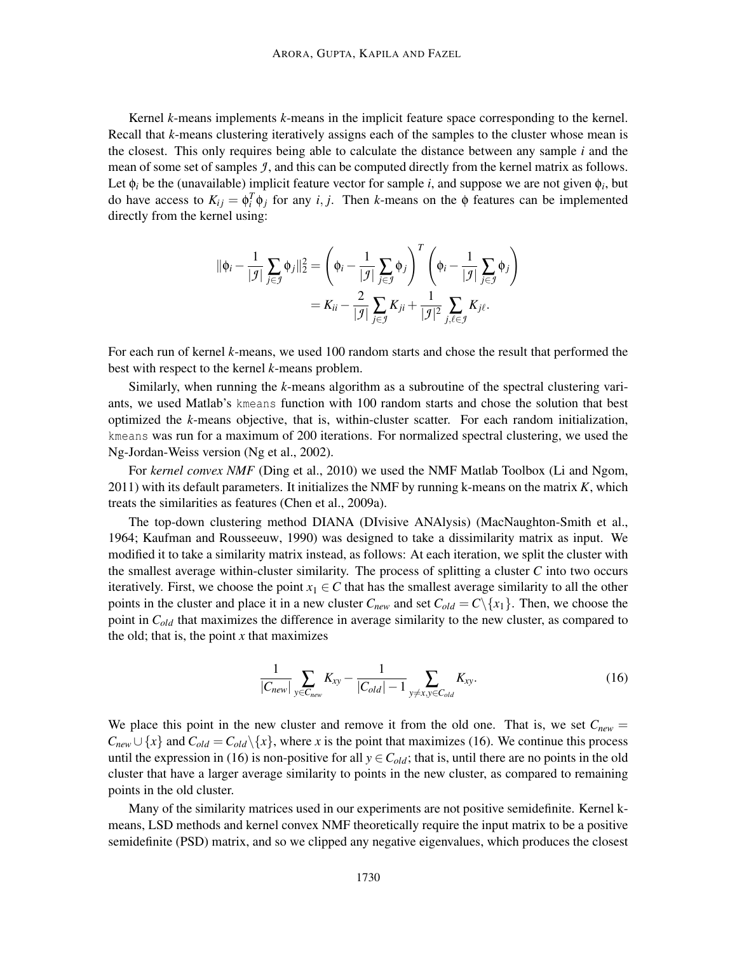Kernel *k*-means implements *k*-means in the implicit feature space corresponding to the kernel. Recall that *k*-means clustering iteratively assigns each of the samples to the cluster whose mean is the closest. This only requires being able to calculate the distance between any sample  $i$  and the mean of some set of samples *J* , and this can be computed directly from the kernel matrix as follows. Let  $\phi_i$  be the (unavailable) implicit feature vector for sample *i*, and suppose we are not given  $\phi_i$ , but do have access to  $K_{ij} = \phi_i^T \phi_j$  for any *i*, *j*. Then *k*-means on the  $\phi$  features can be implemented directly from the kernel using:

$$
\|\phi_i - \frac{1}{|\mathcal{I}|} \sum_{j \in \mathcal{I}} \phi_j\|_2^2 = \left(\phi_i - \frac{1}{|\mathcal{I}|} \sum_{j \in \mathcal{I}} \phi_j\right)^T \left(\phi_i - \frac{1}{|\mathcal{I}|} \sum_{j \in \mathcal{I}} \phi_j\right) \\
= K_{ii} - \frac{2}{|\mathcal{I}|} \sum_{j \in \mathcal{I}} K_{ji} + \frac{1}{|\mathcal{I}|^2} \sum_{j, \ell \in \mathcal{I}} K_{j\ell}.
$$

For each run of kernel *k*-means, we used 100 random starts and chose the result that performed the best with respect to the kernel *k*-means problem.

Similarly, when running the *k*-means algorithm as a subroutine of the spectral clustering variants, we used Matlab's kmeans function with 100 random starts and chose the solution that best optimized the *k*-means objective, that is, within-cluster scatter. For each random initialization, kmeans was run for a maximum of 200 iterations. For normalized spectral clustering, we used the Ng-Jordan-Weiss version (Ng et al., 2002).

For *kernel convex NMF* (Ding et al., 2010) we used the NMF Matlab Toolbox (Li and Ngom, 2011) with its default parameters. It initializes the NMF by running k-means on the matrix *K*, which treats the similarities as features (Chen et al., 2009a).

The top-down clustering method DIANA (DIvisive ANAlysis) (MacNaughton-Smith et al., 1964; Kaufman and Rousseeuw, 1990) was designed to take a dissimilarity matrix as input. We modified it to take a similarity matrix instead, as follows: At each iteration, we split the cluster with the smallest average within-cluster similarity. The process of splitting a cluster *C* into two occurs iteratively. First, we choose the point  $x_1 \in C$  that has the smallest average similarity to all the other points in the cluster and place it in a new cluster  $C_{new}$  and set  $C_{old} = C \setminus \{x_1\}$ . Then, we choose the point in *Cold* that maximizes the difference in average similarity to the new cluster, as compared to the old; that is, the point  $x$  that maximizes

$$
\frac{1}{|C_{new}|}\sum_{y \in C_{new}} K_{xy} - \frac{1}{|C_{old}| - 1}\sum_{y \neq x, y \in C_{old}} K_{xy}.
$$
 (16)

We place this point in the new cluster and remove it from the old one. That is, we set  $C_{new}$  =  $C_{new} \cup \{x\}$  and  $C_{old} = C_{old} \setminus \{x\}$ , where *x* is the point that maximizes (16). We continue this process until the expression in (16) is non-positive for all  $y \in C_{old}$ ; that is, until there are no points in the old cluster that have a larger average similarity to points in the new cluster, as compared to remaining points in the old cluster.

Many of the similarity matrices used in our experiments are not positive semidefinite. Kernel kmeans, LSD methods and kernel convex NMF theoretically require the input matrix to be a positive semidefinite (PSD) matrix, and so we clipped any negative eigenvalues, which produces the closest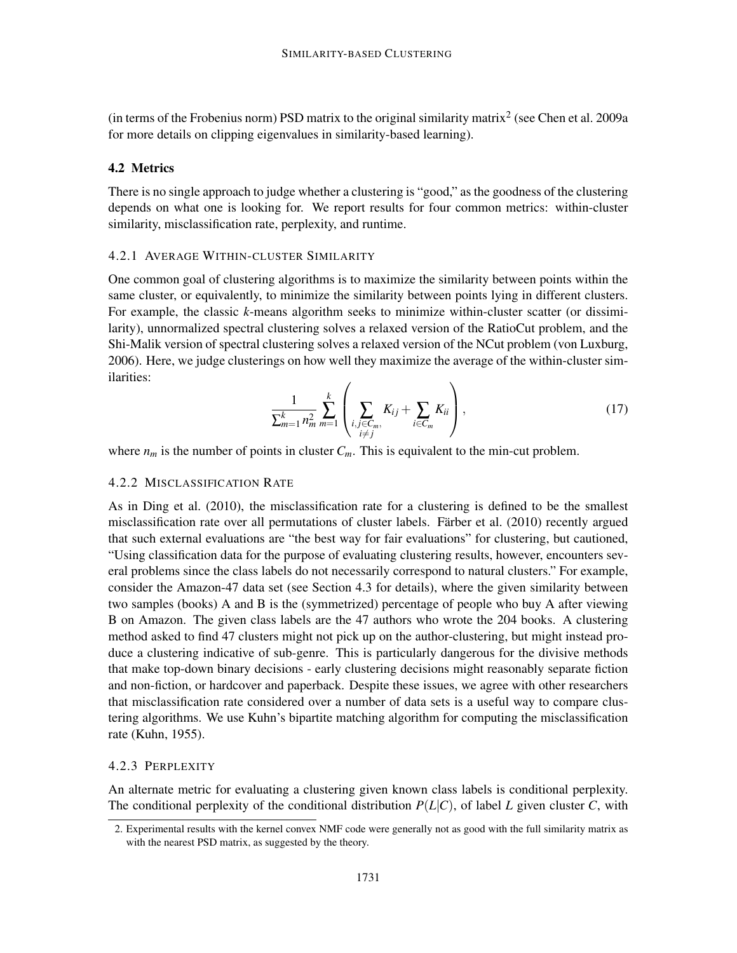(in terms of the Frobenius norm) PSD matrix to the original similarity matrix<sup>2</sup> (see Chen et al. 2009a for more details on clipping eigenvalues in similarity-based learning).

## 4.2 Metrics

There is no single approach to judge whether a clustering is "good," as the goodness of the clustering depends on what one is looking for. We report results for four common metrics: within-cluster similarity, misclassification rate, perplexity, and runtime.

# 4.2.1 AVERAGE WITHIN-CLUSTER SIMILARITY

One common goal of clustering algorithms is to maximize the similarity between points within the same cluster, or equivalently, to minimize the similarity between points lying in different clusters. For example, the classic *k*-means algorithm seeks to minimize within-cluster scatter (or dissimilarity), unnormalized spectral clustering solves a relaxed version of the RatioCut problem, and the Shi-Malik version of spectral clustering solves a relaxed version of the NCut problem (von Luxburg, 2006). Here, we judge clusterings on how well they maximize the average of the within-cluster similarities:

$$
\frac{1}{\sum_{m=1}^{k} n_m^2} \sum_{m=1}^{k} \left( \sum_{\substack{i,j \in C_m, \\ i \neq j}} K_{ij} + \sum_{i \in C_m} K_{ii} \right), \tag{17}
$$

where  $n_m$  is the number of points in cluster  $C_m$ . This is equivalent to the min-cut problem.

## 4.2.2 MISCLASSIFICATION RATE

As in Ding et al. (2010), the misclassification rate for a clustering is defined to be the smallest misclassification rate over all permutations of cluster labels. Färber et al. (2010) recently argued that such external evaluations are "the best way for fair evaluations" for clustering, but cautioned, "Using classification data for the purpose of evaluating clustering results, however, encounters several problems since the class labels do not necessarily correspond to natural clusters." For example, consider the Amazon-47 data set (see Section 4.3 for details), where the given similarity between two samples (books) A and B is the (symmetrized) percentage of people who buy A after viewing B on Amazon. The given class labels are the 47 authors who wrote the 204 books. A clustering method asked to find 47 clusters might not pick up on the author-clustering, but might instead produce a clustering indicative of sub-genre. This is particularly dangerous for the divisive methods that make top-down binary decisions - early clustering decisions might reasonably separate fiction and non-fiction, or hardcover and paperback. Despite these issues, we agree with other researchers that misclassification rate considered over a number of data sets is a useful way to compare clustering algorithms. We use Kuhn's bipartite matching algorithm for computing the misclassification rate (Kuhn, 1955).

## 4.2.3 PERPLEXITY

An alternate metric for evaluating a clustering given known class labels is conditional perplexity. The conditional perplexity of the conditional distribution  $P(L|C)$ , of label *L* given cluster *C*, with

<sup>2.</sup> Experimental results with the kernel convex NMF code were generally not as good with the full similarity matrix as with the nearest PSD matrix, as suggested by the theory.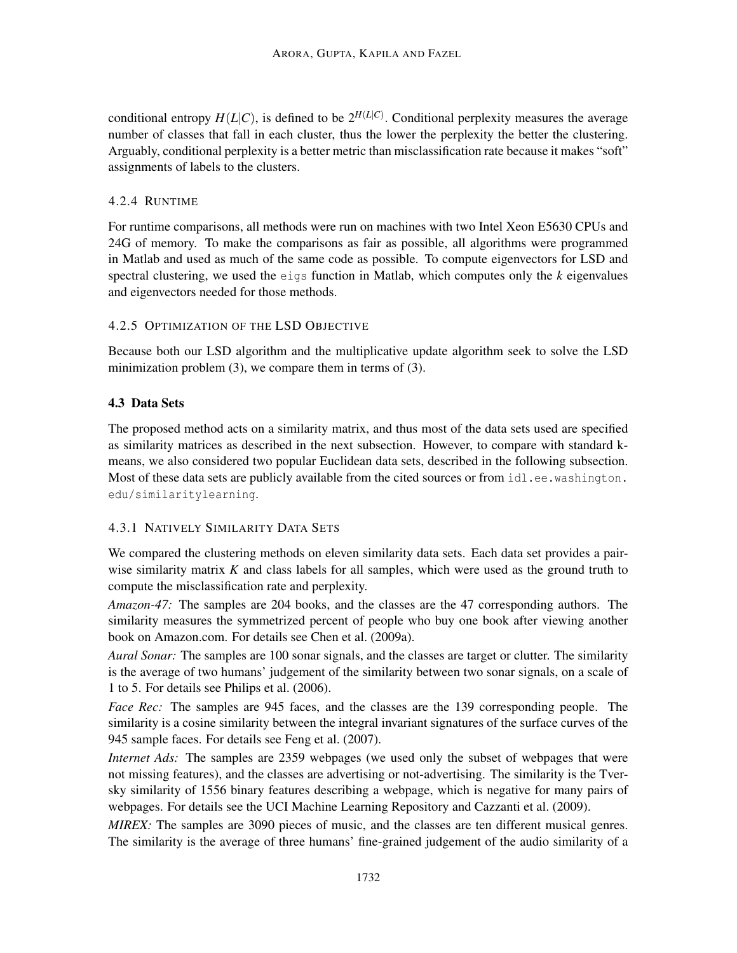conditional entropy  $H(L|C)$ , is defined to be  $2^{H(L|C)}$ . Conditional perplexity measures the average number of classes that fall in each cluster, thus the lower the perplexity the better the clustering. Arguably, conditional perplexity is a better metric than misclassification rate because it makes "soft" assignments of labels to the clusters.

# 4.2.4 RUNTIME

For runtime comparisons, all methods were run on machines with two Intel Xeon E5630 CPUs and 24G of memory. To make the comparisons as fair as possible, all algorithms were programmed in Matlab and used as much of the same code as possible. To compute eigenvectors for LSD and spectral clustering, we used the eigs function in Matlab, which computes only the *k* eigenvalues and eigenvectors needed for those methods.

# 4.2.5 OPTIMIZATION OF THE LSD OBJECTIVE

Because both our LSD algorithm and the multiplicative update algorithm seek to solve the LSD minimization problem (3), we compare them in terms of (3).

# 4.3 Data Sets

The proposed method acts on a similarity matrix, and thus most of the data sets used are specified as similarity matrices as described in the next subsection. However, to compare with standard kmeans, we also considered two popular Euclidean data sets, described in the following subsection. Most of these data sets are publicly available from the cited sources or from  $idl.ee$ . washington. edu/similaritylearning.

# 4.3.1 NATIVELY SIMILARITY DATA SETS

We compared the clustering methods on eleven similarity data sets. Each data set provides a pairwise similarity matrix *K* and class labels for all samples, which were used as the ground truth to compute the misclassification rate and perplexity.

*Amazon-47:* The samples are 204 books, and the classes are the 47 corresponding authors. The similarity measures the symmetrized percent of people who buy one book after viewing another book on Amazon.com. For details see Chen et al. (2009a).

*Aural Sonar:* The samples are 100 sonar signals, and the classes are target or clutter. The similarity is the average of two humans' judgement of the similarity between two sonar signals, on a scale of 1 to 5. For details see Philips et al. (2006).

*Face Rec:* The samples are 945 faces, and the classes are the 139 corresponding people. The similarity is a cosine similarity between the integral invariant signatures of the surface curves of the 945 sample faces. For details see Feng et al. (2007).

*Internet Ads:* The samples are 2359 webpages (we used only the subset of webpages that were not missing features), and the classes are advertising or not-advertising. The similarity is the Tversky similarity of 1556 binary features describing a webpage, which is negative for many pairs of webpages. For details see the UCI Machine Learning Repository and Cazzanti et al. (2009).

*MIREX:* The samples are 3090 pieces of music, and the classes are ten different musical genres. The similarity is the average of three humans' fine-grained judgement of the audio similarity of a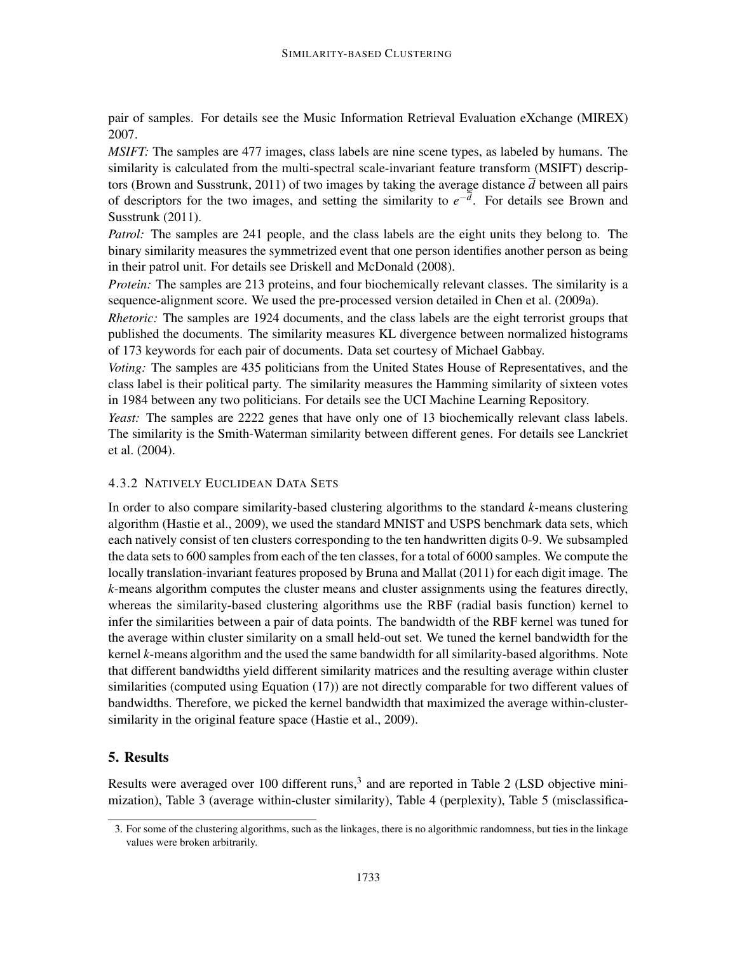pair of samples. For details see the Music Information Retrieval Evaluation eXchange (MIREX) 2007.

*MSIFT:* The samples are 477 images, class labels are nine scene types, as labeled by humans. The similarity is calculated from the multi-spectral scale-invariant feature transform (MSIFT) descriptors (Brown and Susstrunk, 2011) of two images by taking the average distance  $\overline{d}$  between all pairs of descriptors for the two images, and setting the similarity to  $e^{-d}$ . For details see Brown and Susstrunk (2011).

*Patrol:* The samples are 241 people, and the class labels are the eight units they belong to. The binary similarity measures the symmetrized event that one person identifies another person as being in their patrol unit. For details see Driskell and McDonald (2008).

*Protein:* The samples are 213 proteins, and four biochemically relevant classes. The similarity is a sequence-alignment score. We used the pre-processed version detailed in Chen et al. (2009a).

*Rhetoric:* The samples are 1924 documents, and the class labels are the eight terrorist groups that published the documents. The similarity measures KL divergence between normalized histograms of 173 keywords for each pair of documents. Data set courtesy of Michael Gabbay.

*Voting:* The samples are 435 politicians from the United States House of Representatives, and the class label is their political party. The similarity measures the Hamming similarity of sixteen votes in 1984 between any two politicians. For details see the UCI Machine Learning Repository.

*Yeast:* The samples are 2222 genes that have only one of 13 biochemically relevant class labels. The similarity is the Smith-Waterman similarity between different genes. For details see Lanckriet et al. (2004).

# 4.3.2 NATIVELY EUCLIDEAN DATA SETS

In order to also compare similarity-based clustering algorithms to the standard *k*-means clustering algorithm (Hastie et al., 2009), we used the standard MNIST and USPS benchmark data sets, which each natively consist of ten clusters corresponding to the ten handwritten digits 0-9. We subsampled the data sets to 600 samples from each of the ten classes, for a total of 6000 samples. We compute the locally translation-invariant features proposed by Bruna and Mallat (2011) for each digit image. The *k*-means algorithm computes the cluster means and cluster assignments using the features directly, whereas the similarity-based clustering algorithms use the RBF (radial basis function) kernel to infer the similarities between a pair of data points. The bandwidth of the RBF kernel was tuned for the average within cluster similarity on a small held-out set. We tuned the kernel bandwidth for the kernel *k*-means algorithm and the used the same bandwidth for all similarity-based algorithms. Note that different bandwidths yield different similarity matrices and the resulting average within cluster similarities (computed using Equation (17)) are not directly comparable for two different values of bandwidths. Therefore, we picked the kernel bandwidth that maximized the average within-clustersimilarity in the original feature space (Hastie et al., 2009).

# 5. Results

Results were averaged over 100 different runs, $3$  and are reported in Table 2 (LSD objective minimization), Table 3 (average within-cluster similarity), Table 4 (perplexity), Table 5 (misclassifica-

<sup>3.</sup> For some of the clustering algorithms, such as the linkages, there is no algorithmic randomness, but ties in the linkage values were broken arbitrarily.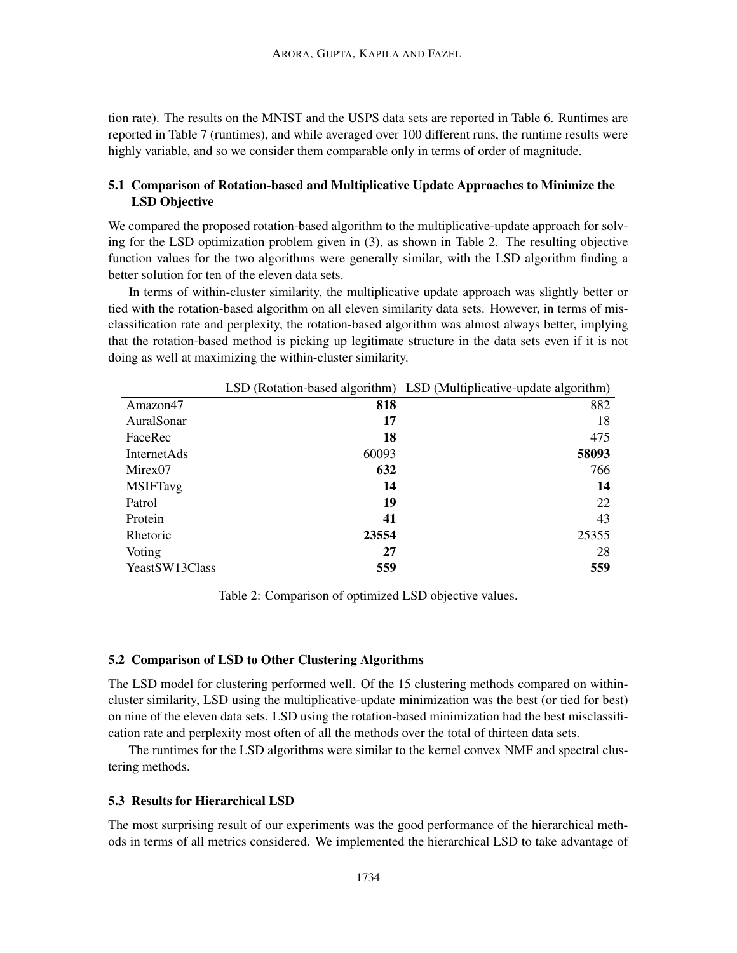tion rate). The results on the MNIST and the USPS data sets are reported in Table 6. Runtimes are reported in Table 7 (runtimes), and while averaged over 100 different runs, the runtime results were highly variable, and so we consider them comparable only in terms of order of magnitude.

# 5.1 Comparison of Rotation-based and Multiplicative Update Approaches to Minimize the LSD Objective

We compared the proposed rotation-based algorithm to the multiplicative-update approach for solving for the LSD optimization problem given in (3), as shown in Table 2. The resulting objective function values for the two algorithms were generally similar, with the LSD algorithm finding a better solution for ten of the eleven data sets.

In terms of within-cluster similarity, the multiplicative update approach was slightly better or tied with the rotation-based algorithm on all eleven similarity data sets. However, in terms of misclassification rate and perplexity, the rotation-based algorithm was almost always better, implying that the rotation-based method is picking up legitimate structure in the data sets even if it is not doing as well at maximizing the within-cluster similarity.

|                    |       | LSD (Rotation-based algorithm) LSD (Multiplicative-update algorithm) |
|--------------------|-------|----------------------------------------------------------------------|
| Amazon47           | 818   | 882                                                                  |
| AuralSonar         | 17    | 18                                                                   |
| FaceRec            | 18    | 475                                                                  |
| <b>InternetAds</b> | 60093 | 58093                                                                |
| Mirex07            | 632   | 766                                                                  |
| <b>MSIFTavg</b>    | 14    | 14                                                                   |
| Patrol             | 19    | 22                                                                   |
| Protein            | 41    | 43                                                                   |
| Rhetoric           | 23554 | 25355                                                                |
| Voting             | 27    | 28                                                                   |
| YeastSW13Class     | 559   | 559                                                                  |

Table 2: Comparison of optimized LSD objective values.

#### 5.2 Comparison of LSD to Other Clustering Algorithms

The LSD model for clustering performed well. Of the 15 clustering methods compared on withincluster similarity, LSD using the multiplicative-update minimization was the best (or tied for best) on nine of the eleven data sets. LSD using the rotation-based minimization had the best misclassification rate and perplexity most often of all the methods over the total of thirteen data sets.

The runtimes for the LSD algorithms were similar to the kernel convex NMF and spectral clustering methods.

## 5.3 Results for Hierarchical LSD

The most surprising result of our experiments was the good performance of the hierarchical methods in terms of all metrics considered. We implemented the hierarchical LSD to take advantage of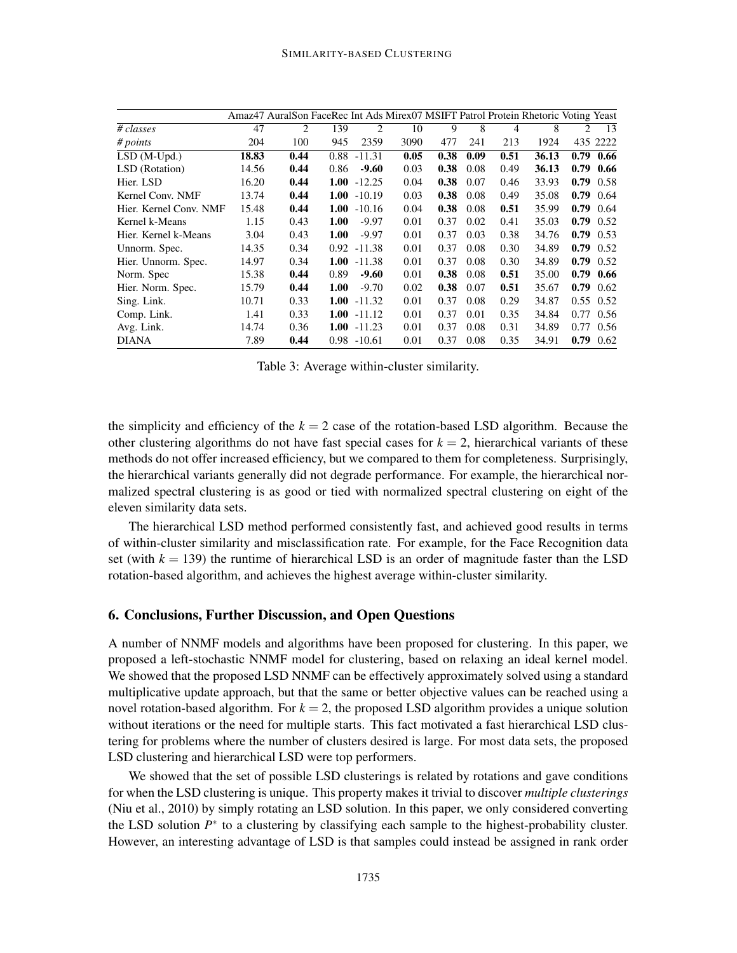|                        |       | Amaz47 AuralSon FaceRec Int Ads Mirex07 MSIFT Patrol Protein Rhetoric Voting Yeast |      |                |      |      |      |      |       |      |                   |
|------------------------|-------|------------------------------------------------------------------------------------|------|----------------|------|------|------|------|-------|------|-------------------|
| # classes              | 47    | 2                                                                                  | 139  | 2              | 10   | 9    | 8    | 4    | 8     | 2    | 13                |
| # points               | 204   | 100                                                                                | 945  | 2359           | 3090 | 477  | 241  | 213  | 1924  |      | 435 2222          |
| $LSD(M-Upd.)$          | 18.83 | 0.44                                                                               | 0.88 | $-11.31$       | 0.05 | 0.38 | 0.09 | 0.51 | 36.13 |      | $0.79$ 0.66       |
| LSD (Rotation)         | 14.56 | 0.44                                                                               | 0.86 | $-9.60$        | 0.03 | 0.38 | 0.08 | 0.49 | 36.13 |      | $0.79$ 0.66       |
| Hier. LSD              | 16.20 | 0.44                                                                               | 1.00 | $-12.25$       | 0.04 | 0.38 | 0.07 | 0.46 | 33.93 |      | $0.79$ 0.58       |
| Kernel Conv. NMF       | 13.74 | 0.44                                                                               | 1.00 | $-10.19$       | 0.03 | 0.38 | 0.08 | 0.49 | 35.08 |      | $0.79$ 0.64       |
| Hier. Kernel Conv. NMF | 15.48 | 0.44                                                                               | 1.00 | $-10.16$       | 0.04 | 0.38 | 0.08 | 0.51 | 35.99 |      | $0.79$ 0.64       |
| Kernel k-Means         | 1.15  | 0.43                                                                               | 1.00 | $-9.97$        | 0.01 | 0.37 | 0.02 | 0.41 | 35.03 |      | $0.79$ 0.52       |
| Hier. Kernel k-Means   | 3.04  | 0.43                                                                               | 1.00 | $-9.97$        | 0.01 | 0.37 | 0.03 | 0.38 | 34.76 |      | $0.79$ 0.53       |
| Unnorm. Spec.          | 14.35 | 0.34                                                                               |      | $0.92 - 11.38$ | 0.01 | 0.37 | 0.08 | 0.30 | 34.89 |      | $0.79$ 0.52       |
| Hier. Unnorm. Spec.    | 14.97 | 0.34                                                                               | 1.00 | $-11.38$       | 0.01 | 0.37 | 0.08 | 0.30 | 34.89 |      | $0.79$ 0.52       |
| Norm. Spec             | 15.38 | 0.44                                                                               | 0.89 | $-9.60$        | 0.01 | 0.38 | 0.08 | 0.51 | 35.00 |      | $0.79$ 0.66       |
| Hier. Norm. Spec.      | 15.79 | 0.44                                                                               | 1.00 | $-9.70$        | 0.02 | 0.38 | 0.07 | 0.51 | 35.67 |      | $0.79$ 0.62       |
| Sing. Link.            | 10.71 | 0.33                                                                               | 1.00 | $-11.32$       | 0.01 | 0.37 | 0.08 | 0.29 | 34.87 |      | $0.55 \quad 0.52$ |
| Comp. Link.            | 1.41  | 0.33                                                                               | 1.00 | $-11.12$       | 0.01 | 0.37 | 0.01 | 0.35 | 34.84 |      | 0.77 0.56         |
| Avg. Link.             | 14.74 | 0.36                                                                               | 1.00 | $-11.23$       | 0.01 | 0.37 | 0.08 | 0.31 | 34.89 | 0.77 | 0.56              |
| <b>DIANA</b>           | 7.89  | 0.44                                                                               |      | $0.98 - 10.61$ | 0.01 | 0.37 | 0.08 | 0.35 | 34.91 |      | $0.79$ 0.62       |

Table 3: Average within-cluster similarity.

the simplicity and efficiency of the  $k = 2$  case of the rotation-based LSD algorithm. Because the other clustering algorithms do not have fast special cases for  $k = 2$ , hierarchical variants of these methods do not offer increased efficiency, but we compared to them for completeness. Surprisingly, the hierarchical variants generally did not degrade performance. For example, the hierarchical normalized spectral clustering is as good or tied with normalized spectral clustering on eight of the eleven similarity data sets.

The hierarchical LSD method performed consistently fast, and achieved good results in terms of within-cluster similarity and misclassification rate. For example, for the Face Recognition data set (with  $k = 139$ ) the runtime of hierarchical LSD is an order of magnitude faster than the LSD rotation-based algorithm, and achieves the highest average within-cluster similarity.

## 6. Conclusions, Further Discussion, and Open Questions

A number of NNMF models and algorithms have been proposed for clustering. In this paper, we proposed a left-stochastic NNMF model for clustering, based on relaxing an ideal kernel model. We showed that the proposed LSD NNMF can be effectively approximately solved using a standard multiplicative update approach, but that the same or better objective values can be reached using a novel rotation-based algorithm. For  $k = 2$ , the proposed LSD algorithm provides a unique solution without iterations or the need for multiple starts. This fact motivated a fast hierarchical LSD clustering for problems where the number of clusters desired is large. For most data sets, the proposed LSD clustering and hierarchical LSD were top performers.

We showed that the set of possible LSD clusterings is related by rotations and gave conditions for when the LSD clustering is unique. This property makes it trivial to discover *multiple clusterings* (Niu et al., 2010) by simply rotating an LSD solution. In this paper, we only considered converting the LSD solution  $P^*$  to a clustering by classifying each sample to the highest-probability cluster. However, an interesting advantage of LSD is that samples could instead be assigned in rank order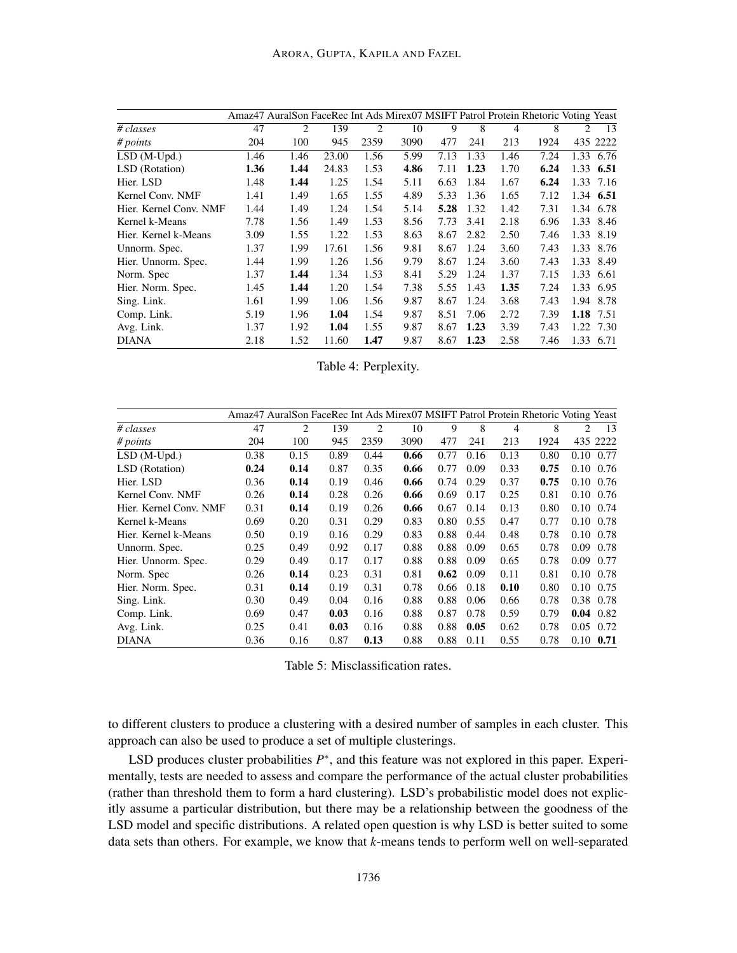|                        |      | Amaz47 AuralSon FaceRec Int Ads Mirex07 MSIFT Patrol Protein Rhetoric Voting Yeast |       |      |      |      |      |      |      |      |           |
|------------------------|------|------------------------------------------------------------------------------------|-------|------|------|------|------|------|------|------|-----------|
| # classes              | 47   | 2                                                                                  | 139   | 2    | 10   | 9    | 8    | 4    | 8    | 2    | 13        |
| # points               | 204  | 100                                                                                | 945   | 2359 | 3090 | 477  | 241  | 213  | 1924 |      | 435 2222  |
| $LSD(M-Upd.)$          | 1.46 | 1.46                                                                               | 23.00 | 1.56 | 5.99 | 7.13 | 1.33 | 1.46 | 7.24 |      | 1.33 6.76 |
| LSD (Rotation)         | 1.36 | 1.44                                                                               | 24.83 | 1.53 | 4.86 | 7.11 | 1.23 | 1.70 | 6.24 |      | 1.33 6.51 |
| Hier. LSD              | 1.48 | 1.44                                                                               | 1.25  | 1.54 | 5.11 | 6.63 | 1.84 | 1.67 | 6.24 | 1.33 | 7.16      |
| Kernel Conv. NMF       | 1.41 | 1.49                                                                               | 1.65  | 1.55 | 4.89 | 5.33 | 1.36 | 1.65 | 7.12 |      | 1.34 6.51 |
| Hier. Kernel Conv. NMF | 1.44 | 1.49                                                                               | 1.24  | 1.54 | 5.14 | 5.28 | 1.32 | 1.42 | 7.31 |      | 1.34 6.78 |
| Kernel k-Means         | 7.78 | 1.56                                                                               | 1.49  | 1.53 | 8.56 | 7.73 | 3.41 | 2.18 | 6.96 |      | 1.33 8.46 |
| Hier. Kernel k-Means   | 3.09 | 1.55                                                                               | 1.22  | 1.53 | 8.63 | 8.67 | 2.82 | 2.50 | 7.46 | 1.33 | 8.19      |
| Unnorm. Spec.          | 1.37 | 1.99                                                                               | 17.61 | 1.56 | 9.81 | 8.67 | 1.24 | 3.60 | 7.43 |      | 1.33 8.76 |
| Hier. Unnorm. Spec.    | 1.44 | 1.99                                                                               | 1.26  | 1.56 | 9.79 | 8.67 | 1.24 | 3.60 | 7.43 |      | 1.33 8.49 |
| Norm. Spec             | 1.37 | 1.44                                                                               | 1.34  | 1.53 | 8.41 | 5.29 | 1.24 | 1.37 | 7.15 |      | 1.33 6.61 |
| Hier. Norm. Spec.      | 1.45 | 1.44                                                                               | 1.20  | 1.54 | 7.38 | 5.55 | 1.43 | 1.35 | 7.24 |      | 1.33 6.95 |
| Sing. Link.            | 1.61 | 1.99                                                                               | 1.06  | 1.56 | 9.87 | 8.67 | 1.24 | 3.68 | 7.43 |      | 1.94 8.78 |
| Comp. Link.            | 5.19 | 1.96                                                                               | 1.04  | 1.54 | 9.87 | 8.51 | 7.06 | 2.72 | 7.39 |      | 1.18 7.51 |
| Avg. Link.             | 1.37 | 1.92                                                                               | 1.04  | 1.55 | 9.87 | 8.67 | 1.23 | 3.39 | 7.43 |      | 1.22 7.30 |
| <b>DIANA</b>           | 2.18 | 1.52                                                                               | 11.60 | 1.47 | 9.87 | 8.67 | 1.23 | 2.58 | 7.46 |      | 1.33 6.71 |

Table 4: Perplexity.

|                        |      | Amaz47 AuralSon FaceRec Int Ads Mirex07 MSIFT Patrol Protein Rhetoric Voting Yeast |      |                |      |      |      |      |      |      |                   |
|------------------------|------|------------------------------------------------------------------------------------|------|----------------|------|------|------|------|------|------|-------------------|
| # classes              | 47   | 2                                                                                  | 139  | $\overline{c}$ | 10   | 9    | 8    | 4    | 8    | 2    | 13                |
| # points               | 204  | 100                                                                                | 945  | 2359           | 3090 | 477  | 241  | 213  | 1924 |      | 435 2222          |
| $LSD(M-Upd.)$          | 0.38 | 0.15                                                                               | 0.89 | 0.44           | 0.66 | 0.77 | 0.16 | 0.13 | 0.80 |      | $0.10$ $0.77$     |
| LSD (Rotation)         | 0.24 | 0.14                                                                               | 0.87 | 0.35           | 0.66 | 0.77 | 0.09 | 0.33 | 0.75 |      | 0.10 0.76         |
| Hier. LSD              | 0.36 | 0.14                                                                               | 0.19 | 0.46           | 0.66 | 0.74 | 0.29 | 0.37 | 0.75 |      | 0.10 0.76         |
| Kernel Conv. NMF       | 0.26 | 0.14                                                                               | 0.28 | 0.26           | 0.66 | 0.69 | 0.17 | 0.25 | 0.81 |      | 0.10 0.76         |
| Hier. Kernel Conv. NMF | 0.31 | 0.14                                                                               | 0.19 | 0.26           | 0.66 | 0.67 | 0.14 | 0.13 | 0.80 |      | $0.10 \quad 0.74$ |
| Kernel k-Means         | 0.69 | 0.20                                                                               | 0.31 | 0.29           | 0.83 | 0.80 | 0.55 | 0.47 | 0.77 |      | 0.10 0.78         |
| Hier. Kernel k-Means   | 0.50 | 0.19                                                                               | 0.16 | 0.29           | 0.83 | 0.88 | 0.44 | 0.48 | 0.78 |      | 0.10 0.78         |
| Unnorm. Spec.          | 0.25 | 0.49                                                                               | 0.92 | 0.17           | 0.88 | 0.88 | 0.09 | 0.65 | 0.78 | 0.09 | 0.78              |
| Hier. Unnorm. Spec.    | 0.29 | 0.49                                                                               | 0.17 | 0.17           | 0.88 | 0.88 | 0.09 | 0.65 | 0.78 | 0.09 | 0.77              |
| Norm. Spec             | 0.26 | 0.14                                                                               | 0.23 | 0.31           | 0.81 | 0.62 | 0.09 | 0.11 | 0.81 |      | 0.10 0.78         |
| Hier. Norm. Spec.      | 0.31 | 0.14                                                                               | 0.19 | 0.31           | 0.78 | 0.66 | 0.18 | 0.10 | 0.80 |      | $0.10 \quad 0.75$ |
| Sing. Link.            | 0.30 | 0.49                                                                               | 0.04 | 0.16           | 0.88 | 0.88 | 0.06 | 0.66 | 0.78 |      | 0.38 0.78         |
| Comp. Link.            | 0.69 | 0.47                                                                               | 0.03 | 0.16           | 0.88 | 0.87 | 0.78 | 0.59 | 0.79 |      | $0.04$ 0.82       |
| Avg. Link.             | 0.25 | 0.41                                                                               | 0.03 | 0.16           | 0.88 | 0.88 | 0.05 | 0.62 | 0.78 |      | $0.05$ 0.72       |
| <b>DIANA</b>           | 0.36 | 0.16                                                                               | 0.87 | 0.13           | 0.88 | 0.88 | 0.11 | 0.55 | 0.78 |      | $0.10 \t 0.71$    |

Table 5: Misclassification rates.

to different clusters to produce a clustering with a desired number of samples in each cluster. This approach can also be used to produce a set of multiple clusterings.

LSD produces cluster probabilities  $P^*$ , and this feature was not explored in this paper. Experimentally, tests are needed to assess and compare the performance of the actual cluster probabilities (rather than threshold them to form a hard clustering). LSD's probabilistic model does not explicitly assume a particular distribution, but there may be a relationship between the goodness of the LSD model and specific distributions. A related open question is why LSD is better suited to some data sets than others. For example, we know that *k*-means tends to perform well on well-separated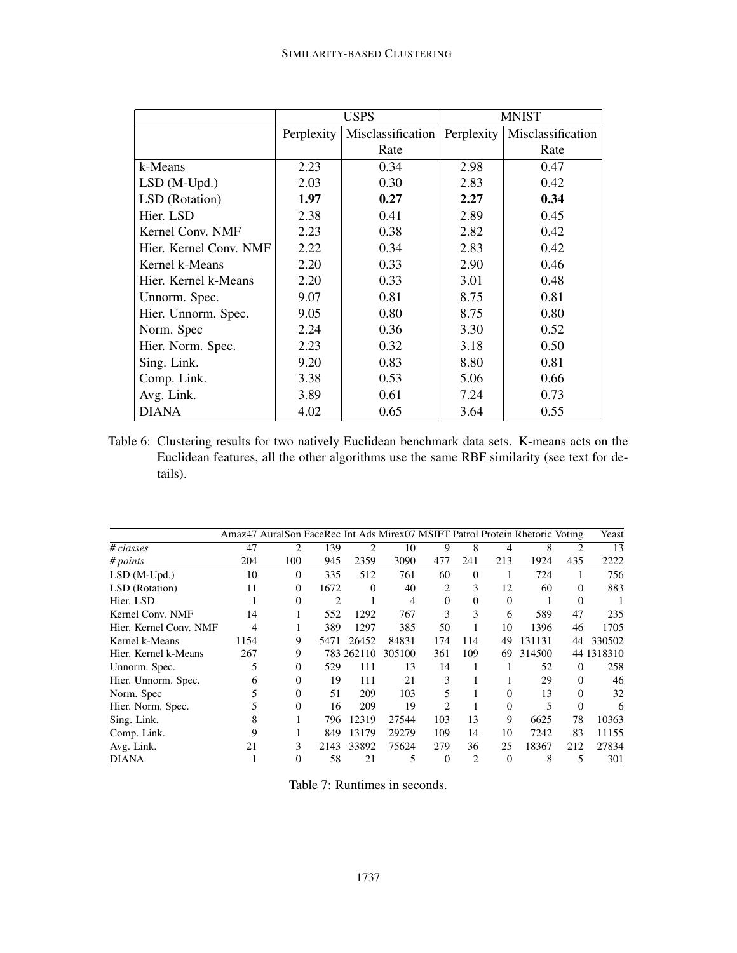|                        |            | <b>USPS</b>       | <b>MNIST</b> |                   |  |  |  |
|------------------------|------------|-------------------|--------------|-------------------|--|--|--|
|                        | Perplexity | Misclassification | Perplexity   | Misclassification |  |  |  |
|                        |            | Rate              |              | Rate              |  |  |  |
| k-Means                | 2.23       | 0.34              | 2.98         | 0.47              |  |  |  |
| $LSD(M-Upd.)$          | 2.03       | 0.30              | 2.83         | 0.42              |  |  |  |
| LSD (Rotation)         | 1.97       | 0.27              | 2.27         | 0.34              |  |  |  |
| Hier. LSD              | 2.38       | 0.41              | 2.89         | 0.45              |  |  |  |
| Kernel Conv. NMF       | 2.23       | 0.38              | 2.82         | 0.42              |  |  |  |
| Hier. Kernel Conv. NMF | 2.22       | 0.34              | 2.83         | 0.42              |  |  |  |
| Kernel k-Means         | 2.20       | 0.33              | 2.90         | 0.46              |  |  |  |
| Hier. Kernel k-Means   | 2.20       | 0.33              | 3.01         | 0.48              |  |  |  |
| Unnorm. Spec.          | 9.07       | 0.81              | 8.75         | 0.81              |  |  |  |
| Hier. Unnorm. Spec.    | 9.05       | 0.80              | 8.75         | 0.80              |  |  |  |
| Norm. Spec             | 2.24       | 0.36              | 3.30         | 0.52              |  |  |  |
| Hier. Norm. Spec.      | 2.23       | 0.32              | 3.18         | 0.50              |  |  |  |
| Sing. Link.            | 9.20       | 0.83              | 8.80         | 0.81              |  |  |  |
| Comp. Link.            | 3.38       | 0.53              | 5.06         | 0.66              |  |  |  |
| Avg. Link.             | 3.89       | 0.61              | 7.24         | 0.73              |  |  |  |
| <b>DIANA</b>           | 4.02       | 0.65              | 3.64         | 0.55              |  |  |  |

Table 6: Clustering results for two natively Euclidean benchmark data sets. K-means acts on the Euclidean features, all the other algorithms use the same RBF similarity (see text for details).

|                        |      | Amaz47 AuralSon FaceRec Int Ads Mirex07 MSIFT Patrol Protein Rhetoric Voting |      |            |        |                |                |          |        |          | Yeast      |
|------------------------|------|------------------------------------------------------------------------------|------|------------|--------|----------------|----------------|----------|--------|----------|------------|
| # classes              | 47   | 2                                                                            | 139  | 2          | 10     | 9              | 8              | 4        | 8      | 2        | 13         |
| # points               | 204  | 100                                                                          | 945  | 2359       | 3090   | 477            | 241            | 213      | 1924   | 435      | 2222       |
| $LSD(M-Upd.)$          | 10   | $\Omega$                                                                     | 335  | 512        | 761    | 60             | $\Omega$       |          | 724    |          | 756        |
| LSD (Rotation)         | 11   | $\Omega$                                                                     | 1672 | $\Omega$   | 40     | 2              | 3              | 12       | 60     | $\Omega$ | 883        |
| Hier. LSD              |      | $\Omega$                                                                     | 2    |            | 4      | $\Omega$       | $\Omega$       | $\Omega$ |        | $\Omega$ |            |
| Kernel Conv. NMF       | 14   |                                                                              | 552  | 1292       | 767    | 3              | 3              | 6        | 589    | 47       | 235        |
| Hier. Kernel Conv. NMF | 4    |                                                                              | 389  | 1297       | 385    | 50             |                | 10       | 1396   | 46       | 1705       |
| Kernel k-Means         | 1154 | 9                                                                            | 5471 | 26452      | 84831  | 174            | 114            | 49       | 131131 | 44       | 330502     |
| Hier. Kernel k-Means   | 267  | 9                                                                            |      | 783 262110 | 305100 | 361            | 109            | 69       | 314500 |          | 44 1318310 |
| Unnorm. Spec.          | 5    | $\Omega$                                                                     | 529  | 111        | 13     | 14             |                |          | 52     | 0        | 258        |
| Hier. Unnorm. Spec.    | 6    | $\Omega$                                                                     | 19   | 111        | 21     | 3              |                |          | 29     | $\Omega$ | 46         |
| Norm. Spec             |      | $\Omega$                                                                     | 51   | 209        | 103    | 5              |                | $\Omega$ | 13     | $\Omega$ | 32         |
| Hier. Norm. Spec.      |      | $\Omega$                                                                     | 16   | 209        | 19     | $\mathfrak{D}$ |                | $\Omega$ | 5      | $\Omega$ | 6          |
| Sing. Link.            | 8    |                                                                              | 796  | 12319      | 27544  | 103            | 13             | 9        | 6625   | 78       | 10363      |
| Comp. Link.            | 9    |                                                                              | 849  | 13179      | 29279  | 109            | 14             | 10       | 7242   | 83       | 11155      |
| Avg. Link.             | 21   | 3                                                                            | 2143 | 33892      | 75624  | 279            | 36             | 25       | 18367  | 212      | 27834      |
| <b>DIANA</b>           |      | 0                                                                            | 58   | 21         | 5      | $\Omega$       | $\overline{c}$ | $\Omega$ | 8      | 5        | 301        |

Table 7: Runtimes in seconds.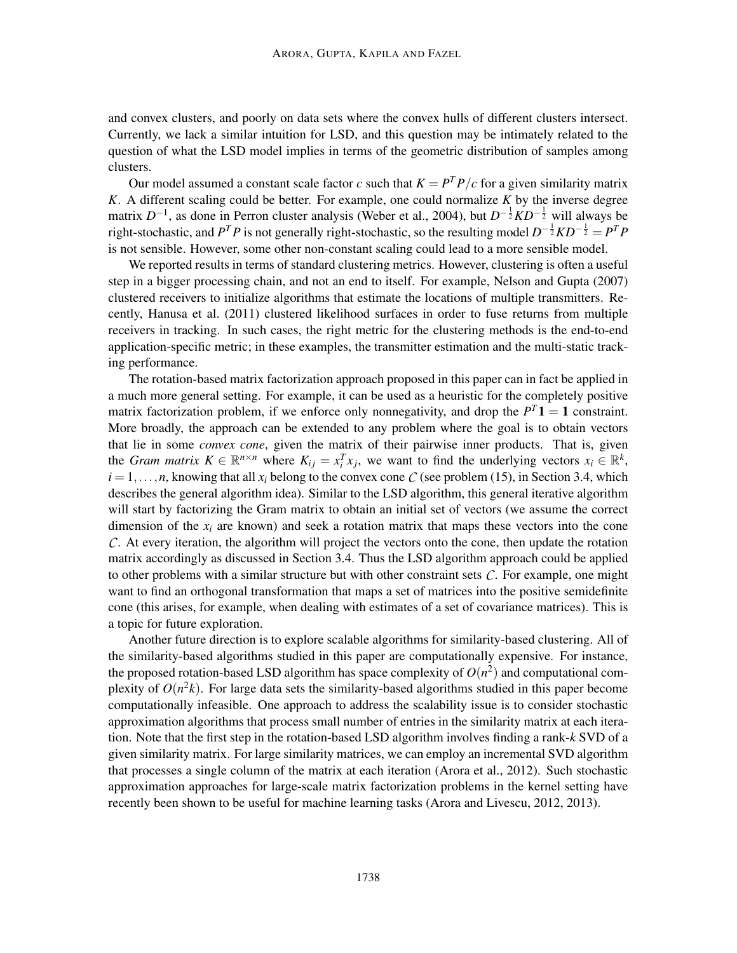and convex clusters, and poorly on data sets where the convex hulls of different clusters intersect. Currently, we lack a similar intuition for LSD, and this question may be intimately related to the question of what the LSD model implies in terms of the geometric distribution of samples among clusters.

Our model assumed a constant scale factor *c* such that  $K = P<sup>T</sup>P/c$  for a given similarity matrix *K*. A different scaling could be better. For example, one could normalize *K* by the inverse degree matrix *D*<sup>-1</sup>, as done in Perron cluster analysis (Weber et al., 2004), but *D*<sup>-1</sup>/<sub>2</sub>*KD*<sup>-1</sup>/<sub>2</sub><sup>*will always be*</sup> right-stochastic, and  $P^T P$  is not generally right-stochastic, so the resulting model  $D^{-\frac{1}{2}}KD^{-\frac{1}{2}} = P^T P$ is not sensible. However, some other non-constant scaling could lead to a more sensible model.

We reported results in terms of standard clustering metrics. However, clustering is often a useful step in a bigger processing chain, and not an end to itself. For example, Nelson and Gupta (2007) clustered receivers to initialize algorithms that estimate the locations of multiple transmitters. Recently, Hanusa et al. (2011) clustered likelihood surfaces in order to fuse returns from multiple receivers in tracking. In such cases, the right metric for the clustering methods is the end-to-end application-specific metric; in these examples, the transmitter estimation and the multi-static tracking performance.

The rotation-based matrix factorization approach proposed in this paper can in fact be applied in a much more general setting. For example, it can be used as a heuristic for the completely positive matrix factorization problem, if we enforce only nonnegativity, and drop the  $P^{T}$ **1** = 1 constraint. More broadly, the approach can be extended to any problem where the goal is to obtain vectors that lie in some *convex cone*, given the matrix of their pairwise inner products. That is, given the *Gram matrix*  $K \in \mathbb{R}^{n \times n}$  where  $K_{ij} = x_i^T x_j$ , we want to find the underlying vectors  $x_i \in \mathbb{R}^k$ ,  $i = 1, \ldots, n$ , knowing that all  $x_i$  belong to the convex cone *C* (see problem (15), in Section 3.4, which describes the general algorithm idea). Similar to the LSD algorithm, this general iterative algorithm will start by factorizing the Gram matrix to obtain an initial set of vectors (we assume the correct dimension of the  $x_i$  are known) and seek a rotation matrix that maps these vectors into the cone *C*. At every iteration, the algorithm will project the vectors onto the cone, then update the rotation matrix accordingly as discussed in Section 3.4. Thus the LSD algorithm approach could be applied to other problems with a similar structure but with other constraint sets *C*. For example, one might want to find an orthogonal transformation that maps a set of matrices into the positive semidefinite cone (this arises, for example, when dealing with estimates of a set of covariance matrices). This is a topic for future exploration.

Another future direction is to explore scalable algorithms for similarity-based clustering. All of the similarity-based algorithms studied in this paper are computationally expensive. For instance, the proposed rotation-based LSD algorithm has space complexity of  $O(n^2)$  and computational complexity of  $O(n^2k)$ . For large data sets the similarity-based algorithms studied in this paper become computationally infeasible. One approach to address the scalability issue is to consider stochastic approximation algorithms that process small number of entries in the similarity matrix at each iteration. Note that the first step in the rotation-based LSD algorithm involves finding a rank-*k* SVD of a given similarity matrix. For large similarity matrices, we can employ an incremental SVD algorithm that processes a single column of the matrix at each iteration (Arora et al., 2012). Such stochastic approximation approaches for large-scale matrix factorization problems in the kernel setting have recently been shown to be useful for machine learning tasks (Arora and Livescu, 2012, 2013).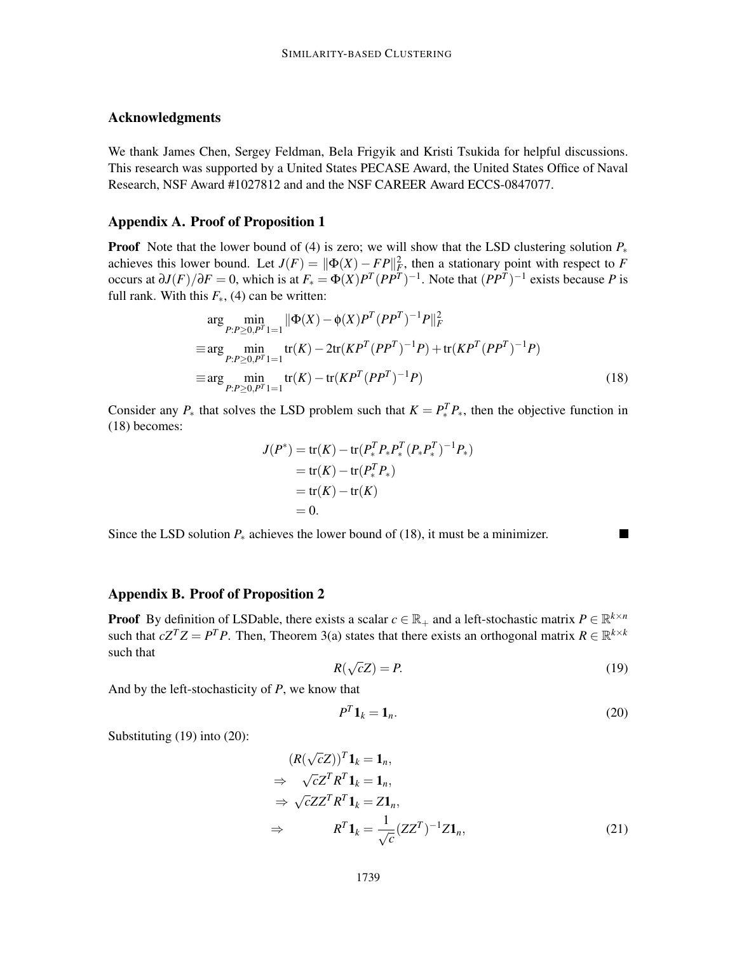# Acknowledgments

We thank James Chen, Sergey Feldman, Bela Frigyik and Kristi Tsukida for helpful discussions. This research was supported by a United States PECASE Award, the United States Office of Naval Research, NSF Award #1027812 and and the NSF CAREER Award ECCS-0847077.

## Appendix A. Proof of Proposition 1

**Proof** Note that the lower bound of (4) is zero; we will show that the LSD clustering solution  $P_*$ achieves this lower bound. Let  $J(F) = ||\Phi(X) - FP||_F^2$ , then a stationary point with respect to *F* occurs at  $\partial J(F)/\partial F = 0$ , which is at  $F_* = \Phi(X)P^T(PP^T)^{-1}$ . Note that  $(PP^T)^{-1}$  exists because *P* is full rank. With this  $F_*(4)$  can be written:

$$
\arg\min_{P:P\geq 0,P^T} \|\Phi(X) - \phi(X)P^T(PP^T)^{-1}P\|_F^2
$$
\n
$$
\equiv \arg\min_{P:P\geq 0,P^T} \text{tr}(K) - 2\text{tr}(KP^T(PP^T)^{-1}P) + \text{tr}(KP^T(PP^T)^{-1}P)
$$
\n
$$
\equiv \arg\min_{P:P\geq 0,P^T} \text{tr}(K) - \text{tr}(KP^T(PP^T)^{-1}P) \tag{18}
$$

Consider any  $P_*$  that solves the LSD problem such that  $K = P_*^T P_*$ , then the objective function in (18) becomes:

$$
J(P^*) = \text{tr}(K) - \text{tr}(P_*^T P_* P_*^T (P_* P_*^T)^{-1} P_*)
$$
  
= tr(K) - tr(P\_\*^T P\_\*)  
= tr(K) - tr(K)  
= 0.

Since the LSD solution  $P_*$  achieves the lower bound of (18), it must be a minimizer.

# Appendix B. Proof of Proposition 2

**Proof** By definition of LSDable, there exists a scalar  $c \in \mathbb{R}_+$  and a left-stochastic matrix  $P \in \mathbb{R}^{k \times n}$ such that  $cZ^T Z = P^T P$ . Then, Theorem 3(a) states that there exists an orthogonal matrix  $R \in \mathbb{R}^{k \times k}$ such that

$$
R(\sqrt{c}Z) = P.\tag{19}
$$

And by the left-stochasticity of *P*, we know that

$$
P^T \mathbf{1}_k = \mathbf{1}_n. \tag{20}
$$

Substituting (19) into (20):

$$
(R(\sqrt{c}Z))^T \mathbf{1}_k = \mathbf{1}_n,
$$
  
\n
$$
\Rightarrow \sqrt{c}Z^T R^T \mathbf{1}_k = \mathbf{1}_n,
$$
  
\n
$$
\Rightarrow \sqrt{c}ZZ^T R^T \mathbf{1}_k = Z \mathbf{1}_n,
$$
  
\n
$$
\Rightarrow R^T \mathbf{1}_k = \frac{1}{\sqrt{c}} (ZZ^T)^{-1} Z \mathbf{1}_n,
$$
\n(21)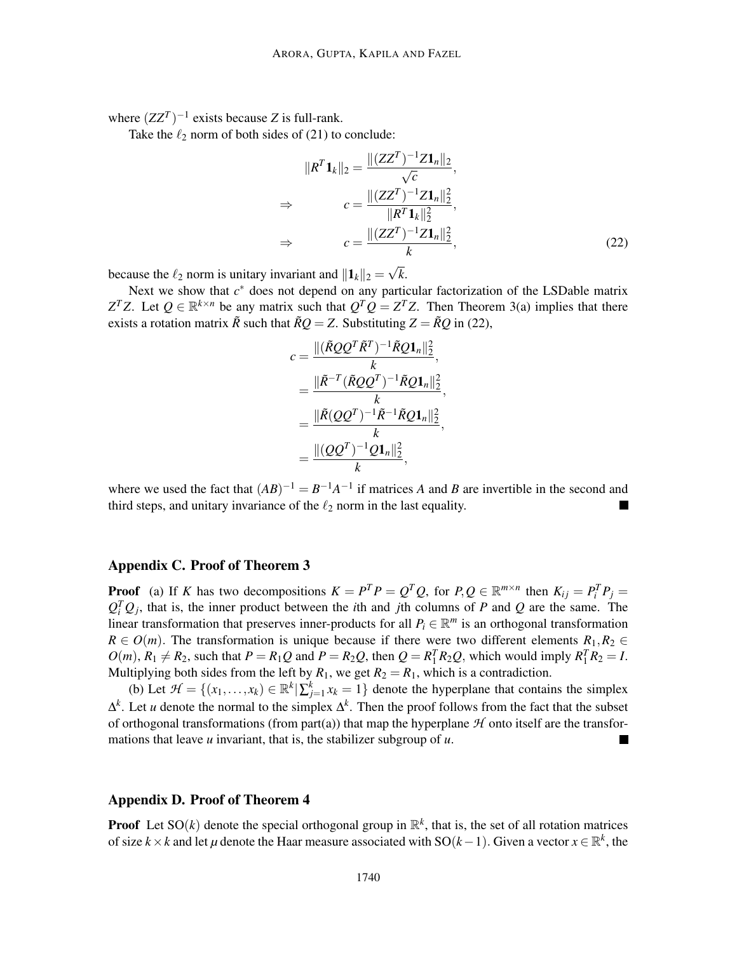where  $(ZZ^T)^{-1}$  exists because *Z* is full-rank.

Take the  $\ell_2$  norm of both sides of (21) to conclude:

$$
||R^{T}\mathbf{1}_{k}||_{2} = \frac{||(ZZ^{T})^{-1}Z\mathbf{1}_{n}||_{2}}{\sqrt{c}},
$$
  
\n
$$
\Rightarrow \qquad c = \frac{||(ZZ^{T})^{-1}Z\mathbf{1}_{n}||_{2}^{2}}{||R^{T}\mathbf{1}_{k}||_{2}^{2}},
$$
  
\n
$$
\Rightarrow \qquad c = \frac{||(ZZ^{T})^{-1}Z\mathbf{1}_{n}||_{2}^{2}}{k},
$$
\n(22)

because the  $\ell_2$  norm is unitary invariant and  $||\mathbf{1}_k||_2 = \sqrt{k}$ .

Next we show that  $c^*$  does not depend on any particular factorization of the LSDable matrix *Z*<sup>T</sup>Z. Let  $Q \in \mathbb{R}^{k \times n}$  be any matrix such that  $Q^T Q = Z^T Z$ . Then Theorem 3(a) implies that there exists a rotation matrix  $\tilde{R}$  such that  $\tilde{R}Q = Z$ . Substituting  $Z = \tilde{R}Q$  in (22),

$$
c = \frac{\|(\tilde{R}QQ^{T}\tilde{R}^{T})^{-1}\tilde{R}Q\mathbf{1}_{n}\|_{2}^{2}}{k},
$$
  
\n
$$
= \frac{\|\tilde{R}^{-T}(\tilde{R}QQ^{T})^{-1}\tilde{R}Q\mathbf{1}_{n}\|_{2}^{2}}{k},
$$
  
\n
$$
= \frac{\|\tilde{R}(QQ^{T})^{-1}\tilde{R}^{-1}\tilde{R}Q\mathbf{1}_{n}\|_{2}^{2}}{k},
$$
  
\n
$$
= \frac{\|(QQ^{T})^{-1}Q\mathbf{1}_{n}\|_{2}^{2}}{k},
$$

where we used the fact that  $(AB)^{-1} = B^{-1}A^{-1}$  if matrices *A* and *B* are invertible in the second and third steps, and unitary invariance of the  $\ell_2$  norm in the last equality.

# Appendix C. Proof of Theorem 3

**Proof** (a) If K has two decompositions  $K = P^T P = Q^T Q$ , for  $P, Q \in \mathbb{R}^{m \times n}$  then  $K_{ij} = P_i^T P_j =$  $Q_i^T Q_j$ , that is, the inner product between the *i*th and *j*th columns of *P* and *Q* are the same. The linear transformation that preserves inner-products for all  $P_i \in \mathbb{R}^m$  is an orthogonal transformation  $R \in O(m)$ . The transformation is unique because if there were two different elements  $R_1, R_2 \in$  $O(m)$ ,  $R_1 \neq R_2$ , such that  $P = R_1Q$  and  $P = R_2Q$ , then  $Q = R_1^T R_2Q$ , which would imply  $R_1^T R_2 = I$ . Multiplying both sides from the left by  $R_1$ , we get  $R_2 = R_1$ , which is a contradiction.

(b) Let  $\mathcal{H} = \{(x_1, \ldots, x_k) \in \mathbb{R}^k | \sum_{j=1}^k x_k = 1\}$  denote the hyperplane that contains the simplex ∆ *k* . Let *u* denote the normal to the simplex ∆ *k* . Then the proof follows from the fact that the subset of orthogonal transformations (from part(a)) that map the hyperplane  $H$  onto itself are the transformations that leave *u* invariant, that is, the stabilizer subgroup of *u*.

## Appendix D. Proof of Theorem 4

**Proof** Let SO(k) denote the special orthogonal group in  $\mathbb{R}^k$ , that is, the set of all rotation matrices of size  $k \times k$  and let  $\mu$  denote the Haar measure associated with SO( $k-1$ ). Given a vector  $x \in \mathbb{R}^k$ , the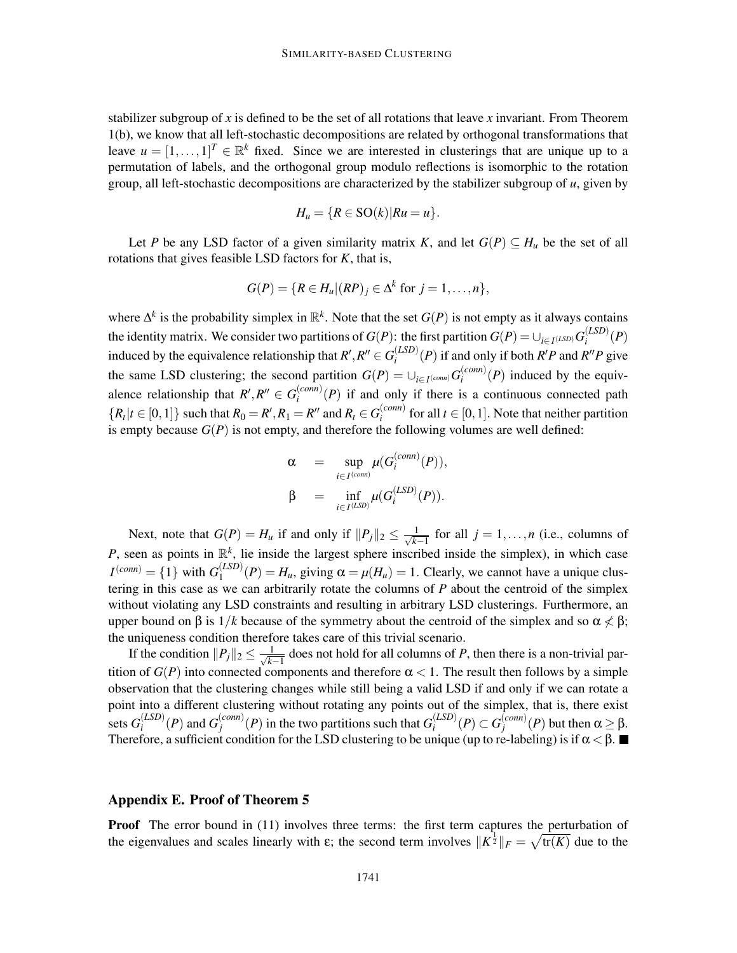stabilizer subgroup of *x* is defined to be the set of all rotations that leave *x* invariant. From Theorem 1(b), we know that all left-stochastic decompositions are related by orthogonal transformations that leave  $u = [1, ..., 1]^T \in \mathbb{R}^k$  fixed. Since we are interested in clusterings that are unique up to a permutation of labels, and the orthogonal group modulo reflections is isomorphic to the rotation group, all left-stochastic decompositions are characterized by the stabilizer subgroup of *u*, given by

$$
H_u = \{ R \in SO(k) | Ru = u \}.
$$

Let *P* be any LSD factor of a given similarity matrix *K*, and let  $G(P) \subseteq H_u$  be the set of all rotations that gives feasible LSD factors for *K*, that is,

$$
G(P) = \{ R \in H_u | (RP)_j \in \Delta^k \text{ for } j = 1, \ldots, n \},
$$

where  $\Delta^k$  is the probability simplex in  $\mathbb{R}^k$ . Note that the set  $G(P)$  is not empty as it always contains the identity matrix. We consider two partitions of  $G(P)$ : the first partition  $G(P) = \bigcup_{i \in I^{(LSD)}} G_i^{(LSD)}$  $\int_i^{(LSD)}(P)$ induced by the equivalence relationship that  $R', R'' \in G_i^{(LSD)}$  $\binom{(LSD)}{i}(P)$  if and only if both *R'P* and *R''P* give the same LSD clustering; the second partition  $G(P) = \bigcup_{i \in I^{(comm)}} G_i^{(conn)}$  $\binom{(com)}{i}$  (*P*) induced by the equivalence relationship that  $R', R'' \in G_i^{(conn)}$  $\binom{comm}{i}(P)$  if and only if there is a continuous connected path  ${R_t | t \in [0, 1]}$  such that  $R_0 = R', R_1 = R''$  and  $R_t \in G_i^{(conn)}$  $\sum_{i}^{(conn)}$  for all  $t \in [0,1]$ . Note that neither partition is empty because  $G(P)$  is not empty, and therefore the following volumes are well defined:

$$
\alpha = \sup_{i \in I^{(conn)}} \mu(G_i^{(conn)}(P)),
$$
  

$$
\beta = \inf_{i \in I^{(LSD)}} \mu(G_i^{(LSD)}(P)).
$$

Next, note that  $G(P) = H_u$  if and only if  $||P_j||_2 \le \frac{1}{\sqrt{k-1}}$  for all  $j = 1, ..., n$  (i.e., columns of *P*, seen as points in  $\mathbb{R}^k$ , lie inside the largest sphere inscribed inside the simplex), in which case  $I^{(conn)} = \{1\}$  with  $G_1^{(LSD)}$  $\binom{(LSD)}{1}(P) = H_u$ , giving  $\alpha = \mu(H_u) = 1$ . Clearly, we cannot have a unique clustering in this case as we can arbitrarily rotate the columns of *P* about the centroid of the simplex without violating any LSD constraints and resulting in arbitrary LSD clusterings. Furthermore, an upper bound on  $\beta$  is  $1/k$  because of the symmetry about the centroid of the simplex and so  $\alpha \not\leq \beta$ ; the uniqueness condition therefore takes care of this trivial scenario.

If the condition  $||P_j||_2 \leq \frac{1}{\sqrt{k}}$  $\frac{1}{k-1}$  does not hold for all columns of *P*, then there is a non-trivial partition of  $G(P)$  into connected components and therefore  $\alpha < 1$ . The result then follows by a simple observation that the clustering changes while still being a valid LSD if and only if we can rotate a point into a different clustering without rotating any points out of the simplex, that is, there exist sets  $G_i^{(LSD)}$  $I_i^{(LSD)}(P)$  and  $G_j^{(conn)}$  $\binom{(conn)}{j}$  (*P*) in the two partitions such that  $G_i^{(LSD)}$  $I_i^{(LSD)}(P) \subset G_j^{(conn)}$  $j^{(conn)}_j(P)$  but then  $\alpha \geq \beta$ . Therefore, a sufficient condition for the LSD clustering to be unique (up to re-labeling) is if  $\alpha < \beta$ .

## Appendix E. Proof of Theorem 5

**Proof** The error bound in (11) involves three terms: the first term captures the perturbation of the eigenvalues and scales linearly with  $\varepsilon$ ; the second term involves  $||K^{\frac{1}{2}}||_F = \sqrt{\text{tr}(K)}$  due to the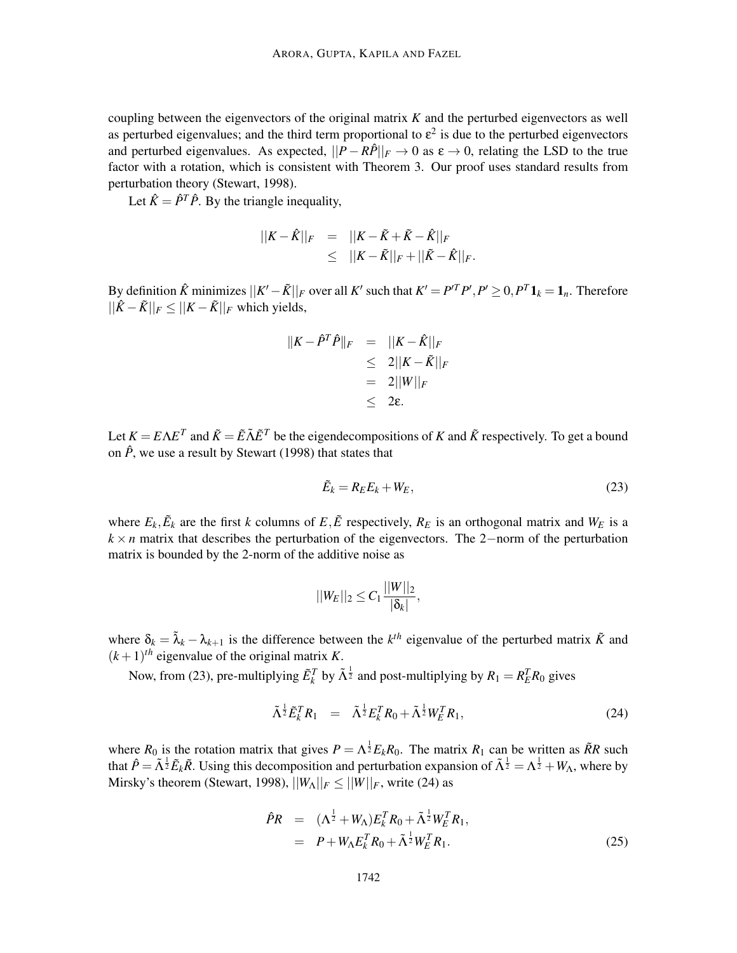coupling between the eigenvectors of the original matrix *K* and the perturbed eigenvectors as well as perturbed eigenvalues; and the third term proportional to  $\varepsilon^2$  is due to the perturbed eigenvectors and perturbed eigenvalues. As expected,  $||P - R\hat{P}||_F \to 0$  as  $\varepsilon \to 0$ , relating the LSD to the true factor with a rotation, which is consistent with Theorem 3. Our proof uses standard results from perturbation theory (Stewart, 1998).

Let  $\hat{K} = \hat{P}^T \hat{P}$ . By the triangle inequality,

$$
||K - \hat{K}||_F = ||K - \tilde{K} + \tilde{K} - \hat{K}||_F
$$
  
\n
$$
\leq ||K - \tilde{K}||_F + ||\tilde{K} - \hat{K}||_F.
$$

By definition  $\hat{K}$  minimizes  $||K' - \tilde{K}||_F$  over all  $K'$  such that  $K' = P'^T P', P' \ge 0, P^T \mathbf{1}_k = \mathbf{1}_n$ . Therefore  $||\hat{K} - \tilde{K}||_F \leq ||K - \tilde{K}||_F$  which yields,

$$
||K - \hat{P}^T \hat{P}||_F = ||K - \hat{K}||_F
$$
  
\n
$$
\leq 2||K - \tilde{K}||_F
$$
  
\n
$$
= 2||W||_F
$$
  
\n
$$
\leq 2\varepsilon.
$$

Let  $K = E\Lambda E^T$  and  $\tilde{K} = \tilde{E}\tilde{\Lambda}\tilde{E}^T$  be the eigendecompositions of *K* and  $\tilde{K}$  respectively. To get a bound on  $\hat{P}$ , we use a result by Stewart (1998) that states that

$$
\tilde{E}_k = R_E E_k + W_E, \tag{23}
$$

where  $E_k$ ,  $\tilde{E}_k$  are the first *k* columns of  $E$ ,  $\tilde{E}$  respectively,  $R_E$  is an orthogonal matrix and  $W_E$  is a  $k \times n$  matrix that describes the perturbation of the eigenvectors. The 2−norm of the perturbation matrix is bounded by the 2-norm of the additive noise as

$$
||W_E||_2 \leq C_1 \frac{||W||_2}{|\delta_k|},
$$

where  $\delta_k = \tilde{\lambda}_k - \lambda_{k+1}$  is the difference between the *k*<sup>th</sup> eigenvalue of the perturbed matrix  $\tilde{K}$  and  $(k+1)$ <sup>th</sup> eigenvalue of the original matrix *K*.

Now, from (23), pre-multiplying  $\tilde{E}_k^T$  by  $\tilde{\Lambda}^{\frac{1}{2}}$  and post-multiplying by  $R_1 = R_E^T R_0$  gives

$$
\tilde{\Lambda}^{\frac{1}{2}} \tilde{E}_k^T R_1 = \tilde{\Lambda}^{\frac{1}{2}} E_k^T R_0 + \tilde{\Lambda}^{\frac{1}{2}} W_E^T R_1, \qquad (24)
$$

where  $R_0$  is the rotation matrix that gives  $P = \Lambda^{\frac{1}{2}} E_k R_0$ . The matrix  $R_1$  can be written as  $\tilde{R}R$  such that  $\hat{P} = \tilde{\Lambda}^{\frac{1}{2}} \tilde{E}_k \tilde{R}$ . Using this decomposition and perturbation expansion of  $\tilde{\Lambda}^{\frac{1}{2}} = \Lambda^{\frac{1}{2}} + W_\Lambda$ , where by Mirsky's theorem (Stewart, 1998),  $||W_{\Lambda}||_F \le ||W||_F$ , write (24) as

$$
\hat{P}R = (\Lambda^{\frac{1}{2}} + W_{\Lambda})E_k^T R_0 + \tilde{\Lambda}^{\frac{1}{2}} W_E^T R_1, \n= P + W_{\Lambda} E_k^T R_0 + \tilde{\Lambda}^{\frac{1}{2}} W_E^T R_1.
$$
\n(25)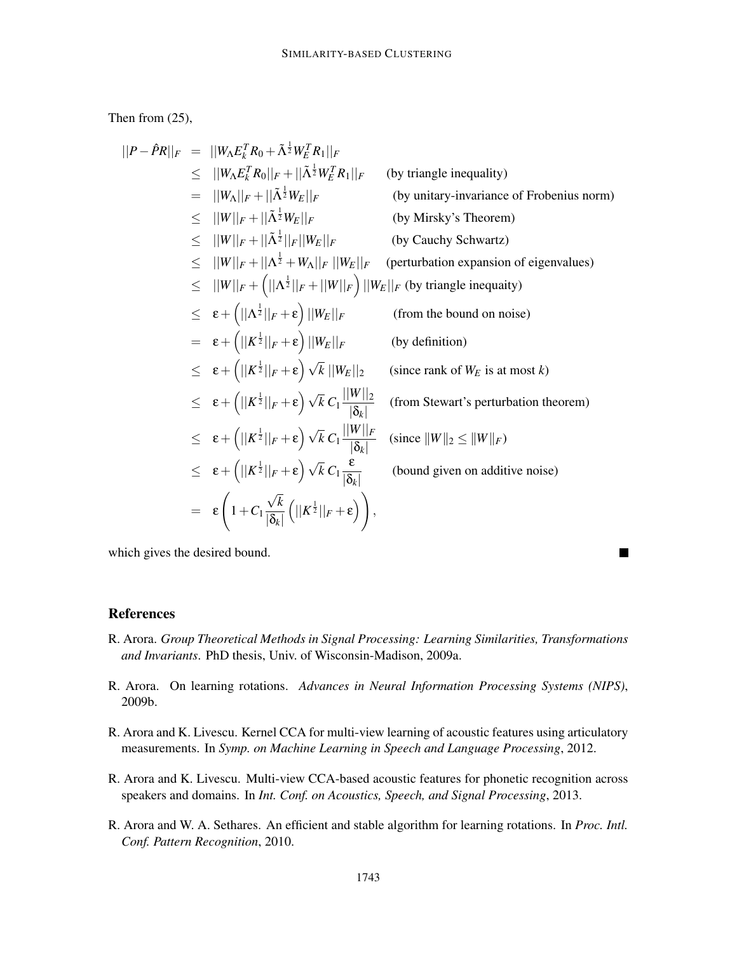Then from (25),

$$
||P - \hat{P}R||_F = ||W_{A}E_{k}^{T}R_{0} + \tilde{\Lambda}^{\frac{1}{2}}W_{E}^{T}R_{1}||_F
$$
  
\n
$$
\leq ||W_{A}|_{F} + ||\tilde{\Lambda}^{\frac{1}{2}}W_{E}^{T}R_{1}||_F
$$
 (by triangle inequality)  
\n
$$
= ||W_{A}||_{F} + ||\tilde{\Lambda}^{\frac{1}{2}}W_{E}||_F
$$
 (by unitary-invariance of Frobenius norm)  
\n
$$
\leq ||W||_{F} + ||\tilde{\Lambda}^{\frac{1}{2}}||_F||W_{E}||_F
$$
 (by Mirsky's Theorem)  
\n
$$
\leq ||W||_{F} + ||\tilde{\Lambda}^{\frac{1}{2}}||_F||W_{E}||_F
$$
 (perturbation expansion of eigenvalues)  
\n
$$
\leq ||W||_{F} + (||\Lambda^{\frac{1}{2}}||_F + ||W||_F) ||W_{E}||_F
$$
 (by triangle inequality)  
\n
$$
\leq \epsilon + (||\Lambda^{\frac{1}{2}}||_F + \epsilon) ||W_{E}||_F
$$
 (from the bound on noise)  
\n
$$
= \epsilon + (||K^{\frac{1}{2}}||_F + \epsilon) ||W_{E}||_F
$$
 (by definition)  
\n
$$
\leq \epsilon + (||K^{\frac{1}{2}}||_F + \epsilon) \sqrt{k} ||W_{E}||_2
$$
 (since rank of  $W_E$  is at most *k*)  
\n
$$
\leq \epsilon + (||K^{\frac{1}{2}}||_F + \epsilon) \sqrt{k} C_1 \frac{||W||_2}{|\delta_k|}
$$
 (from Stewart's perturbation theorem)  
\n
$$
\leq \epsilon + (||K^{\frac{1}{2}}||_F + \epsilon) \sqrt{k} C_1 \frac{||W||_2}{|\delta_k|}
$$
 (since  $||W||_2 \leq ||W||_F$ )  
\n
$$
\leq \epsilon + (||K^{\frac{1}{2}}||_F + \epsilon) \sqrt{k} C_1 \frac{\epsilon}{|\delta_k|}
$$
 (bound given on additive noise)  
\n
$$
= \epsilon \left(1 + C_1 \frac{\sqrt{k}}{|\delta_k|} (||K^{\frac{1}{2}}||_F + \epsilon) \
$$

which gives the desired bound.

#### **References**

R. Arora. *Group Theoretical Methods in Signal Processing: Learning Similarities, Transformations and Invariants*. PhD thesis, Univ. of Wisconsin-Madison, 2009a.

П

- R. Arora. On learning rotations. *Advances in Neural Information Processing Systems (NIPS)*, 2009b.
- R. Arora and K. Livescu. Kernel CCA for multi-view learning of acoustic features using articulatory measurements. In *Symp. on Machine Learning in Speech and Language Processing*, 2012.
- R. Arora and K. Livescu. Multi-view CCA-based acoustic features for phonetic recognition across speakers and domains. In *Int. Conf. on Acoustics, Speech, and Signal Processing*, 2013.
- R. Arora and W. A. Sethares. An efficient and stable algorithm for learning rotations. In *Proc. Intl. Conf. Pattern Recognition*, 2010.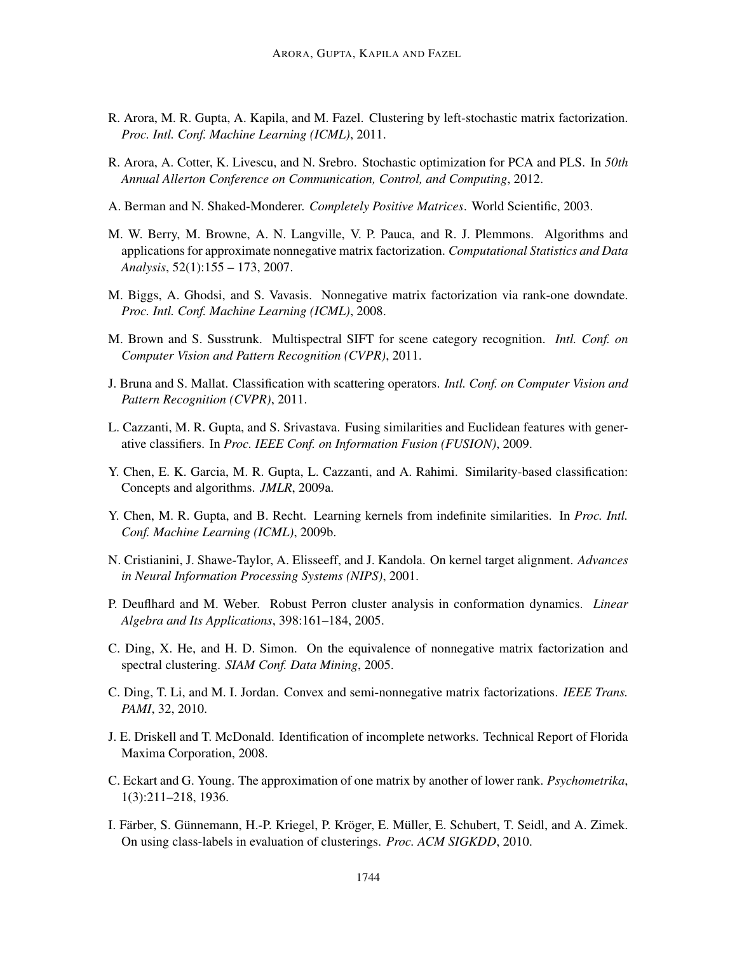- R. Arora, M. R. Gupta, A. Kapila, and M. Fazel. Clustering by left-stochastic matrix factorization. *Proc. Intl. Conf. Machine Learning (ICML)*, 2011.
- R. Arora, A. Cotter, K. Livescu, and N. Srebro. Stochastic optimization for PCA and PLS. In *50th Annual Allerton Conference on Communication, Control, and Computing*, 2012.
- A. Berman and N. Shaked-Monderer. *Completely Positive Matrices*. World Scientific, 2003.
- M. W. Berry, M. Browne, A. N. Langville, V. P. Pauca, and R. J. Plemmons. Algorithms and applications for approximate nonnegative matrix factorization. *Computational Statistics and Data Analysis*, 52(1):155 – 173, 2007.
- M. Biggs, A. Ghodsi, and S. Vavasis. Nonnegative matrix factorization via rank-one downdate. *Proc. Intl. Conf. Machine Learning (ICML)*, 2008.
- M. Brown and S. Susstrunk. Multispectral SIFT for scene category recognition. *Intl. Conf. on Computer Vision and Pattern Recognition (CVPR)*, 2011.
- J. Bruna and S. Mallat. Classification with scattering operators. *Intl. Conf. on Computer Vision and Pattern Recognition (CVPR)*, 2011.
- L. Cazzanti, M. R. Gupta, and S. Srivastava. Fusing similarities and Euclidean features with generative classifiers. In *Proc. IEEE Conf. on Information Fusion (FUSION)*, 2009.
- Y. Chen, E. K. Garcia, M. R. Gupta, L. Cazzanti, and A. Rahimi. Similarity-based classification: Concepts and algorithms. *JMLR*, 2009a.
- Y. Chen, M. R. Gupta, and B. Recht. Learning kernels from indefinite similarities. In *Proc. Intl. Conf. Machine Learning (ICML)*, 2009b.
- N. Cristianini, J. Shawe-Taylor, A. Elisseeff, and J. Kandola. On kernel target alignment. *Advances in Neural Information Processing Systems (NIPS)*, 2001.
- P. Deuflhard and M. Weber. Robust Perron cluster analysis in conformation dynamics. *Linear Algebra and Its Applications*, 398:161–184, 2005.
- C. Ding, X. He, and H. D. Simon. On the equivalence of nonnegative matrix factorization and spectral clustering. *SIAM Conf. Data Mining*, 2005.
- C. Ding, T. Li, and M. I. Jordan. Convex and semi-nonnegative matrix factorizations. *IEEE Trans. PAMI*, 32, 2010.
- J. E. Driskell and T. McDonald. Identification of incomplete networks. Technical Report of Florida Maxima Corporation, 2008.
- C. Eckart and G. Young. The approximation of one matrix by another of lower rank. *Psychometrika*, 1(3):211–218, 1936.
- I. Färber, S. Günnemann, H.-P. Kriegel, P. Kröger, E. Müller, E. Schubert, T. Seidl, and A. Zimek. On using class-labels in evaluation of clusterings. *Proc. ACM SIGKDD*, 2010.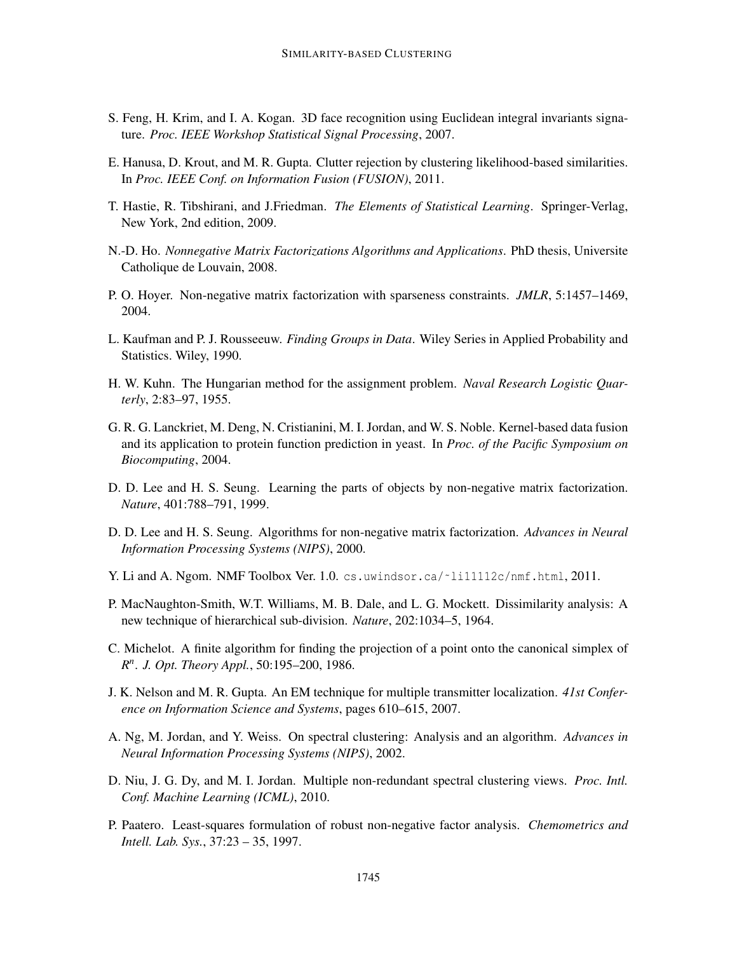- S. Feng, H. Krim, and I. A. Kogan. 3D face recognition using Euclidean integral invariants signature. *Proc. IEEE Workshop Statistical Signal Processing*, 2007.
- E. Hanusa, D. Krout, and M. R. Gupta. Clutter rejection by clustering likelihood-based similarities. In *Proc. IEEE Conf. on Information Fusion (FUSION)*, 2011.
- T. Hastie, R. Tibshirani, and J.Friedman. *The Elements of Statistical Learning*. Springer-Verlag, New York, 2nd edition, 2009.
- N.-D. Ho. *Nonnegative Matrix Factorizations Algorithms and Applications*. PhD thesis, Universite Catholique de Louvain, 2008.
- P. O. Hoyer. Non-negative matrix factorization with sparseness constraints. *JMLR*, 5:1457–1469, 2004.
- L. Kaufman and P. J. Rousseeuw. *Finding Groups in Data*. Wiley Series in Applied Probability and Statistics. Wiley, 1990.
- H. W. Kuhn. The Hungarian method for the assignment problem. *Naval Research Logistic Quarterly*, 2:83–97, 1955.
- G. R. G. Lanckriet, M. Deng, N. Cristianini, M. I. Jordan, and W. S. Noble. Kernel-based data fusion and its application to protein function prediction in yeast. In *Proc. of the Pacific Symposium on Biocomputing*, 2004.
- D. D. Lee and H. S. Seung. Learning the parts of objects by non-negative matrix factorization. *Nature*, 401:788–791, 1999.
- D. D. Lee and H. S. Seung. Algorithms for non-negative matrix factorization. *Advances in Neural Information Processing Systems (NIPS)*, 2000.
- Y. Li and A. Ngom. NMF Toolbox Ver. 1.0. cs.uwindsor.ca/~li11112c/nmf.html, 2011.
- P. MacNaughton-Smith, W.T. Williams, M. B. Dale, and L. G. Mockett. Dissimilarity analysis: A new technique of hierarchical sub-division. *Nature*, 202:1034–5, 1964.
- C. Michelot. A finite algorithm for finding the projection of a point onto the canonical simplex of *R n* . *J. Opt. Theory Appl.*, 50:195–200, 1986.
- J. K. Nelson and M. R. Gupta. An EM technique for multiple transmitter localization. *41st Conference on Information Science and Systems*, pages 610–615, 2007.
- A. Ng, M. Jordan, and Y. Weiss. On spectral clustering: Analysis and an algorithm. *Advances in Neural Information Processing Systems (NIPS)*, 2002.
- D. Niu, J. G. Dy, and M. I. Jordan. Multiple non-redundant spectral clustering views. *Proc. Intl. Conf. Machine Learning (ICML)*, 2010.
- P. Paatero. Least-squares formulation of robust non-negative factor analysis. *Chemometrics and Intell. Lab. Sys.*, 37:23 – 35, 1997.